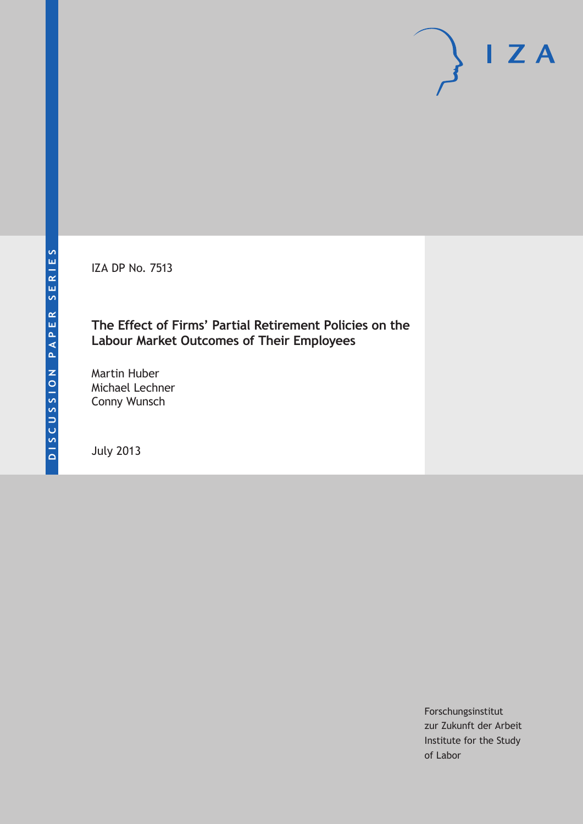IZA DP No. 7513

# **The Effect of Firms' Partial Retirement Policies on the Labour Market Outcomes of Their Employees**

Martin Huber Michael Lechner Conny Wunsch

July 2013

Forschungsinstitut zur Zukunft der Arbeit Institute for the Study of Labor

 $I Z A$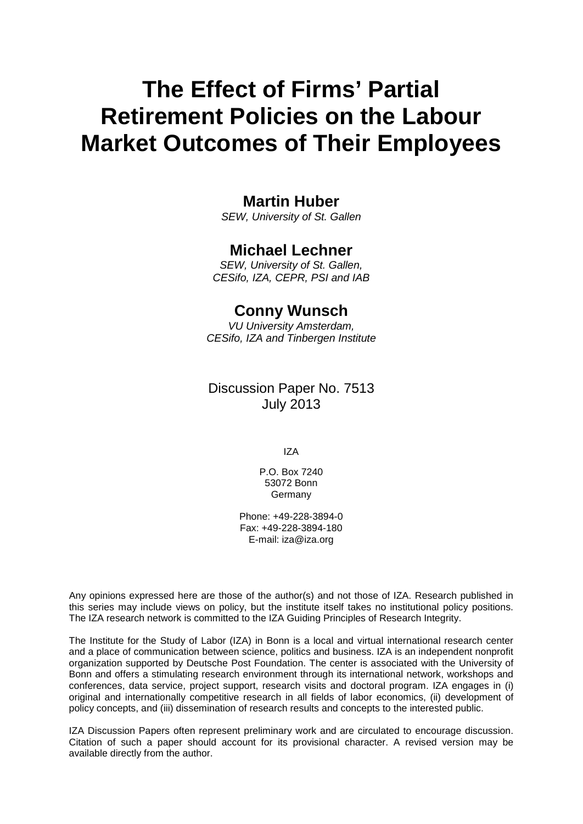# **The Effect of Firms' Partial Retirement Policies on the Labour Market Outcomes of Their Employees**

# **Martin Huber**

*SEW, University of St. Gallen*

# **Michael Lechner**

*SEW, University of St. Gallen, CESifo, IZA, CEPR, PSI and IAB*

# **Conny Wunsch**

*VU University Amsterdam, CESifo, IZA and Tinbergen Institute*

# Discussion Paper No. 7513 July 2013

IZA

P.O. Box 7240 53072 Bonn Germany

Phone: +49-228-3894-0 Fax: +49-228-3894-180 E-mail: [iza@iza.org](mailto:iza@iza.org)

Any opinions expressed here are those of the author(s) and not those of IZA. Research published in this series may include views on policy, but the institute itself takes no institutional policy positions. The IZA research network is committed to the IZA Guiding Principles of Research Integrity.

The Institute for the Study of Labor (IZA) in Bonn is a local and virtual international research center and a place of communication between science, politics and business. IZA is an independent nonprofit organization supported by Deutsche Post Foundation. The center is associated with the University of Bonn and offers a stimulating research environment through its international network, workshops and conferences, data service, project support, research visits and doctoral program. IZA engages in (i) original and internationally competitive research in all fields of labor economics, (ii) development of policy concepts, and (iii) dissemination of research results and concepts to the interested public.

<span id="page-1-0"></span>IZA Discussion Papers often represent preliminary work and are circulated to encourage discussion. Citation of such a paper should account for its provisional character. A revised version may be available directly from the author.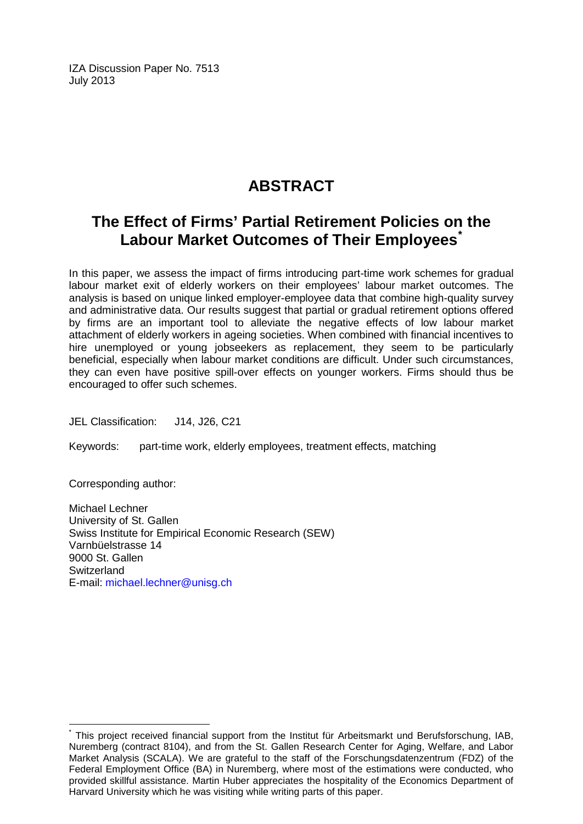IZA Discussion Paper No. 7513 July 2013

# **ABSTRACT**

# **The Effect of Firms' Partial Retirement Policies on the Labour Market Outcomes of Their Employees[\\*](#page-1-0)**

In this paper, we assess the impact of firms introducing part-time work schemes for gradual labour market exit of elderly workers on their employees' labour market outcomes. The analysis is based on unique linked employer-employee data that combine high-quality survey and administrative data. Our results suggest that partial or gradual retirement options offered by firms are an important tool to alleviate the negative effects of low labour market attachment of elderly workers in ageing societies. When combined with financial incentives to hire unemployed or young jobseekers as replacement, they seem to be particularly beneficial, especially when labour market conditions are difficult. Under such circumstances, they can even have positive spill-over effects on younger workers. Firms should thus be encouraged to offer such schemes.

JEL Classification: J14, J26, C21

Keywords: part-time work, elderly employees, treatment effects, matching

Corresponding author:

Michael Lechner University of St. Gallen Swiss Institute for Empirical Economic Research (SEW) Varnbüelstrasse 14 9000 St. Gallen **Switzerland** E-mail: [michael.lechner@unisg.ch](mailto:michael.lechner@unisg.ch)

This project received financial support from the Institut für Arbeitsmarkt und Berufsforschung, IAB, Nuremberg (contract 8104), and from the St. Gallen Research Center for Aging, Welfare, and Labor Market Analysis (SCALA). We are grateful to the staff of the Forschungsdatenzentrum (FDZ) of the Federal Employment Office (BA) in Nuremberg, where most of the estimations were conducted, who provided skillful assistance. Martin Huber appreciates the hospitality of the Economics Department of Harvard University which he was visiting while writing parts of this paper.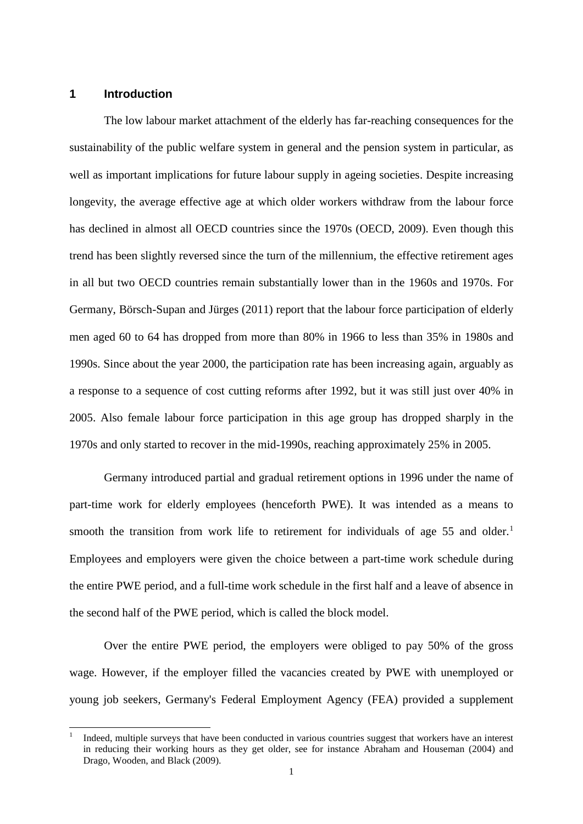### **1 Introduction**

The low labour market attachment of the elderly has far-reaching consequences for the sustainability of the public welfare system in general and the pension system in particular, as well as important implications for future labour supply in ageing societies. Despite increasing longevity, the average effective age at which older workers withdraw from the labour force has declined in almost all OECD countries since the 1970s (OECD, 2009). Even though this trend has been slightly reversed since the turn of the millennium, the effective retirement ages in all but two OECD countries remain substantially lower than in the 1960s and 1970s. For Germany, Börsch-Supan and Jürges (2011) report that the labour force participation of elderly men aged 60 to 64 has dropped from more than 80% in 1966 to less than 35% in 1980s and 1990s. Since about the year 2000, the participation rate has been increasing again, arguably as a response to a sequence of cost cutting reforms after 1992, but it was still just over 40% in 2005. Also female labour force participation in this age group has dropped sharply in the 1970s and only started to recover in the mid-1990s, reaching approximately 25% in 2005.

Germany introduced partial and gradual retirement options in 1996 under the name of part-time work for elderly employees (henceforth PWE). It was intended as a means to smooth the transition from work life to retirement for individuals of age 55 and older.<sup>[1](#page-3-0)</sup> Employees and employers were given the choice between a part-time work schedule during the entire PWE period, and a full-time work schedule in the first half and a leave of absence in the second half of the PWE period, which is called the block model.

Over the entire PWE period, the employers were obliged to pay 50% of the gross wage. However, if the employer filled the vacancies created by PWE with unemployed or young job seekers, Germany's Federal Employment Agency (FEA) provided a supplement

<span id="page-3-0"></span> <sup>1</sup> Indeed, multiple surveys that have been conducted in various countries suggest that workers have an interest in reducing their working hours as they get older, see for instance Abraham and Houseman (2004) and Drago, Wooden, and Black (2009).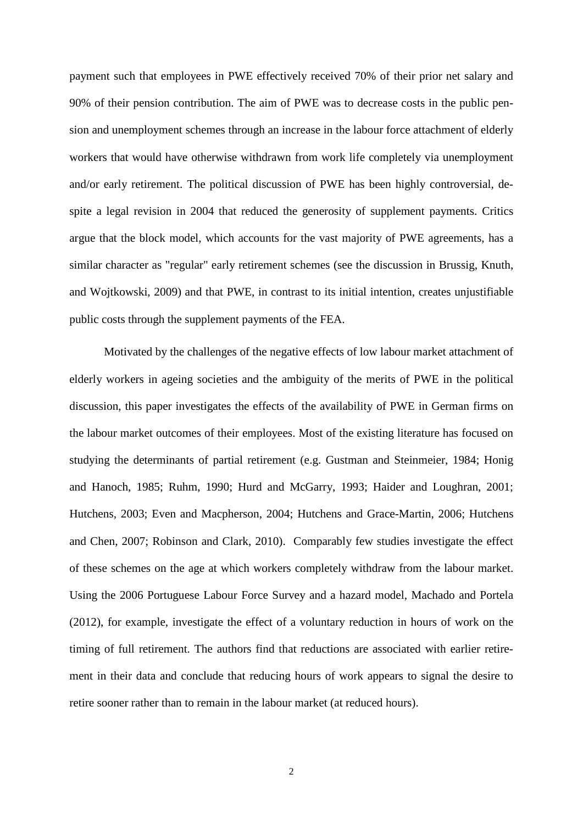payment such that employees in PWE effectively received 70% of their prior net salary and 90% of their pension contribution. The aim of PWE was to decrease costs in the public pension and unemployment schemes through an increase in the labour force attachment of elderly workers that would have otherwise withdrawn from work life completely via unemployment and/or early retirement. The political discussion of PWE has been highly controversial, despite a legal revision in 2004 that reduced the generosity of supplement payments. Critics argue that the block model, which accounts for the vast majority of PWE agreements, has a similar character as "regular" early retirement schemes (see the discussion in Brussig, Knuth, and Wojtkowski, 2009) and that PWE, in contrast to its initial intention, creates unjustifiable public costs through the supplement payments of the FEA.

Motivated by the challenges of the negative effects of low labour market attachment of elderly workers in ageing societies and the ambiguity of the merits of PWE in the political discussion, this paper investigates the effects of the availability of PWE in German firms on the labour market outcomes of their employees. Most of the existing literature has focused on studying the determinants of partial retirement (e.g. Gustman and Steinmeier, 1984; Honig and Hanoch, 1985; Ruhm, 1990; Hurd and McGarry, 1993; Haider and Loughran, 2001; Hutchens, 2003; Even and Macpherson, 2004; Hutchens and Grace-Martin, 2006; Hutchens and Chen, 2007; Robinson and Clark, 2010). Comparably few studies investigate the effect of these schemes on the age at which workers completely withdraw from the labour market. Using the 2006 Portuguese Labour Force Survey and a hazard model, Machado and Portela (2012), for example, investigate the effect of a voluntary reduction in hours of work on the timing of full retirement. The authors find that reductions are associated with earlier retirement in their data and conclude that reducing hours of work appears to signal the desire to retire sooner rather than to remain in the labour market (at reduced hours).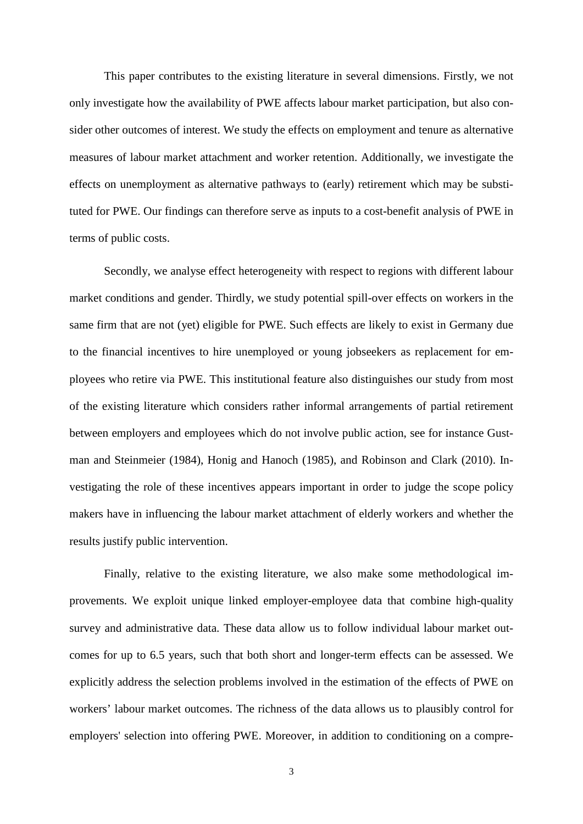This paper contributes to the existing literature in several dimensions. Firstly, we not only investigate how the availability of PWE affects labour market participation, but also consider other outcomes of interest. We study the effects on employment and tenure as alternative measures of labour market attachment and worker retention. Additionally, we investigate the effects on unemployment as alternative pathways to (early) retirement which may be substituted for PWE. Our findings can therefore serve as inputs to a cost-benefit analysis of PWE in terms of public costs.

Secondly, we analyse effect heterogeneity with respect to regions with different labour market conditions and gender. Thirdly, we study potential spill-over effects on workers in the same firm that are not (yet) eligible for PWE. Such effects are likely to exist in Germany due to the financial incentives to hire unemployed or young jobseekers as replacement for employees who retire via PWE. This institutional feature also distinguishes our study from most of the existing literature which considers rather informal arrangements of partial retirement between employers and employees which do not involve public action, see for instance Gustman and Steinmeier (1984), Honig and Hanoch (1985), and Robinson and Clark (2010). Investigating the role of these incentives appears important in order to judge the scope policy makers have in influencing the labour market attachment of elderly workers and whether the results justify public intervention.

Finally, relative to the existing literature, we also make some methodological improvements. We exploit unique linked employer-employee data that combine high-quality survey and administrative data. These data allow us to follow individual labour market outcomes for up to 6.5 years, such that both short and longer-term effects can be assessed. We explicitly address the selection problems involved in the estimation of the effects of PWE on workers' labour market outcomes. The richness of the data allows us to plausibly control for employers' selection into offering PWE. Moreover, in addition to conditioning on a compre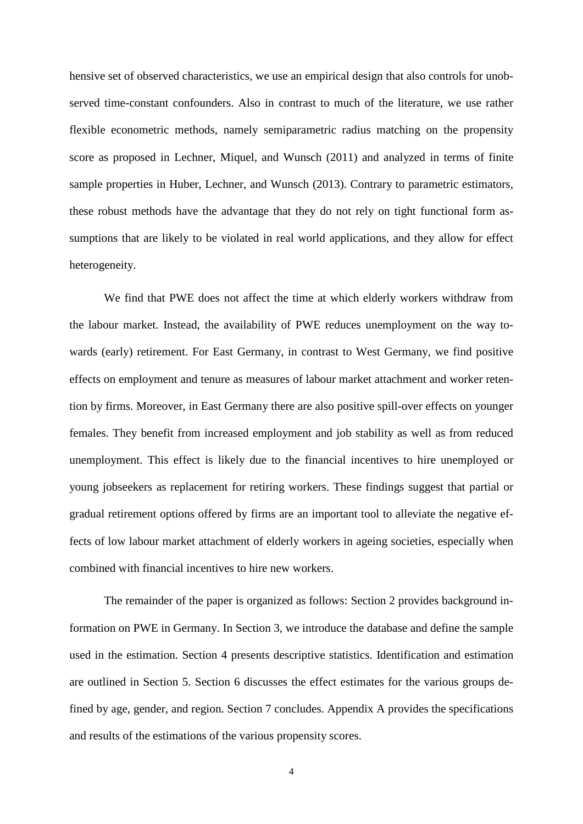hensive set of observed characteristics, we use an empirical design that also controls for unobserved time-constant confounders. Also in contrast to much of the literature, we use rather flexible econometric methods, namely semiparametric radius matching on the propensity score as proposed in Lechner, Miquel, and Wunsch (2011) and analyzed in terms of finite sample properties in Huber, Lechner, and Wunsch (2013). Contrary to parametric estimators, these robust methods have the advantage that they do not rely on tight functional form assumptions that are likely to be violated in real world applications, and they allow for effect heterogeneity.

We find that PWE does not affect the time at which elderly workers withdraw from the labour market. Instead, the availability of PWE reduces unemployment on the way towards (early) retirement. For East Germany, in contrast to West Germany, we find positive effects on employment and tenure as measures of labour market attachment and worker retention by firms. Moreover, in East Germany there are also positive spill-over effects on younger females. They benefit from increased employment and job stability as well as from reduced unemployment. This effect is likely due to the financial incentives to hire unemployed or young jobseekers as replacement for retiring workers. These findings suggest that partial or gradual retirement options offered by firms are an important tool to alleviate the negative effects of low labour market attachment of elderly workers in ageing societies, especially when combined with financial incentives to hire new workers.

The remainder of the paper is organized as follows: Section 2 provides background information on PWE in Germany. In Section 3, we introduce the database and define the sample used in the estimation. Section 4 presents descriptive statistics. Identification and estimation are outlined in Section 5. Section 6 discusses the effect estimates for the various groups defined by age, gender, and region. Section 7 concludes. Appendix A provides the specifications and results of the estimations of the various propensity scores.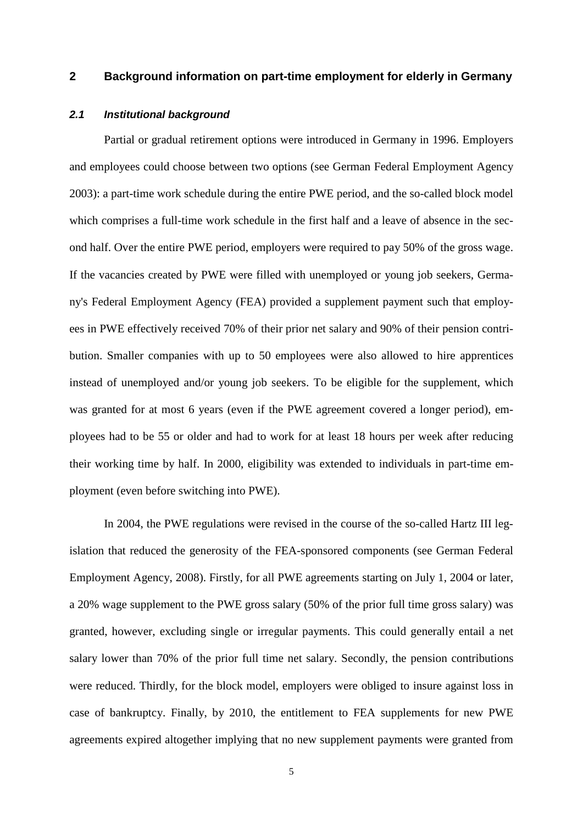### **2 Background information on part-time employment for elderly in Germany**

### *2.1 Institutional background*

Partial or gradual retirement options were introduced in Germany in 1996. Employers and employees could choose between two options (see German Federal Employment Agency 2003): a part-time work schedule during the entire PWE period, and the so-called block model which comprises a full-time work schedule in the first half and a leave of absence in the second half. Over the entire PWE period, employers were required to pay 50% of the gross wage. If the vacancies created by PWE were filled with unemployed or young job seekers, Germany's Federal Employment Agency (FEA) provided a supplement payment such that employees in PWE effectively received 70% of their prior net salary and 90% of their pension contribution. Smaller companies with up to 50 employees were also allowed to hire apprentices instead of unemployed and/or young job seekers. To be eligible for the supplement, which was granted for at most 6 years (even if the PWE agreement covered a longer period), employees had to be 55 or older and had to work for at least 18 hours per week after reducing their working time by half. In 2000, eligibility was extended to individuals in part-time employment (even before switching into PWE).

In 2004, the PWE regulations were revised in the course of the so-called Hartz III legislation that reduced the generosity of the FEA-sponsored components (see German Federal Employment Agency, 2008). Firstly, for all PWE agreements starting on July 1, 2004 or later, a 20% wage supplement to the PWE gross salary (50% of the prior full time gross salary) was granted, however, excluding single or irregular payments. This could generally entail a net salary lower than 70% of the prior full time net salary. Secondly, the pension contributions were reduced. Thirdly, for the block model, employers were obliged to insure against loss in case of bankruptcy. Finally, by 2010, the entitlement to FEA supplements for new PWE agreements expired altogether implying that no new supplement payments were granted from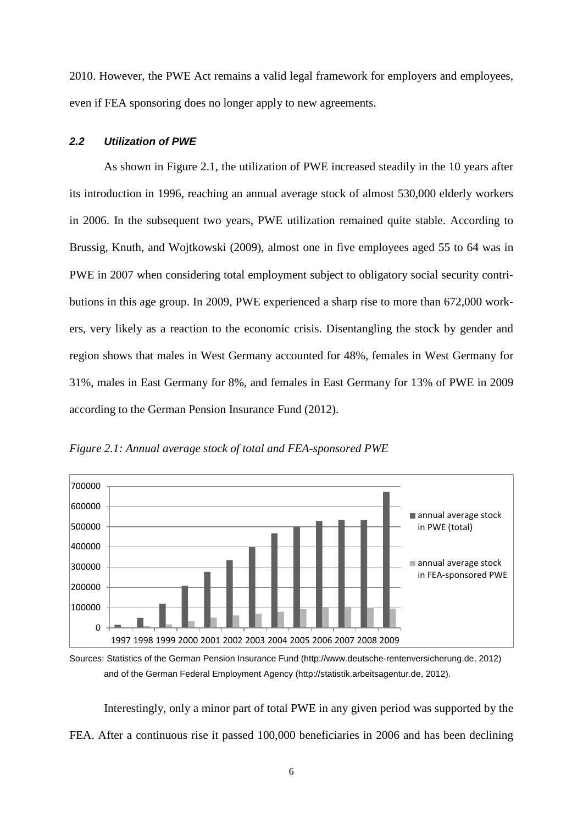2010. However, the PWE Act remains a valid legal framework for employers and employees, even if FEA sponsoring does no longer apply to new agreements.

#### *2.2 Utilization of PWE*

As shown in Figure 2.1, the utilization of PWE increased steadily in the 10 years after its introduction in 1996, reaching an annual average stock of almost 530,000 elderly workers in 2006. In the subsequent two years, PWE utilization remained quite stable. According to Brussig, Knuth, and Wojtkowski (2009), almost one in five employees aged 55 to 64 was in PWE in 2007 when considering total employment subject to obligatory social security contributions in this age group. In 2009, PWE experienced a sharp rise to more than 672,000 workers, very likely as a reaction to the economic crisis. Disentangling the stock by gender and region shows that males in West Germany accounted for 48%, females in West Germany for 31%, males in East Germany for 8%, and females in East Germany for 13% of PWE in 2009 according to the German Pension Insurance Fund (2012).



*Figure 2.1: Annual average stock of total and FEA-sponsored PWE*

Interestingly, only a minor part of total PWE in any given period was supported by the FEA. After a continuous rise it passed 100,000 beneficiaries in 2006 and has been declining

Sources: Statistics of the German Pension Insurance Fund (http://www.deutsche-rentenversicherung.de, 2012) and of the German Federal Employment Agency (http://statistik.arbeitsagentur.de, 2012).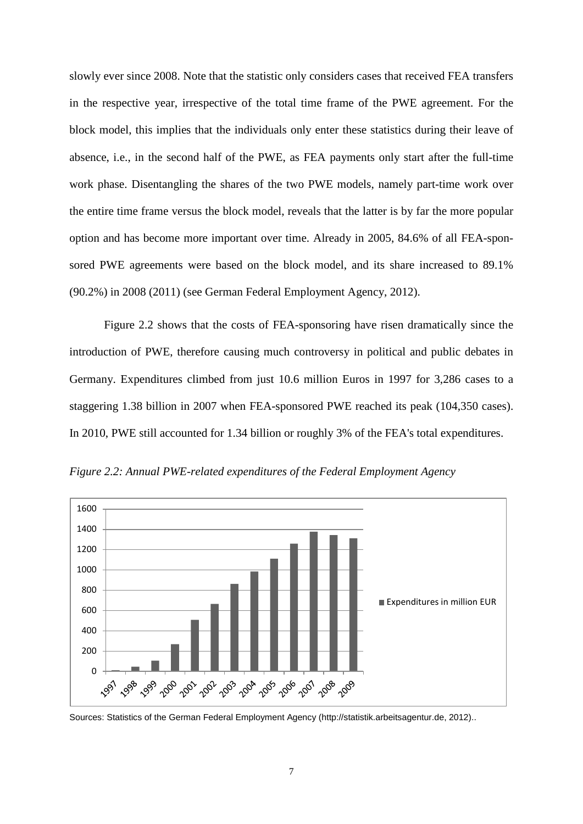slowly ever since 2008. Note that the statistic only considers cases that received FEA transfers in the respective year, irrespective of the total time frame of the PWE agreement. For the block model, this implies that the individuals only enter these statistics during their leave of absence, i.e., in the second half of the PWE, as FEA payments only start after the full-time work phase. Disentangling the shares of the two PWE models, namely part-time work over the entire time frame versus the block model, reveals that the latter is by far the more popular option and has become more important over time. Already in 2005, 84.6% of all FEA-sponsored PWE agreements were based on the block model, and its share increased to 89.1% (90.2%) in 2008 (2011) (see German Federal Employment Agency, 2012).

Figure 2.2 shows that the costs of FEA-sponsoring have risen dramatically since the introduction of PWE, therefore causing much controversy in political and public debates in Germany. Expenditures climbed from just 10.6 million Euros in 1997 for 3,286 cases to a staggering 1.38 billion in 2007 when FEA-sponsored PWE reached its peak (104,350 cases). In 2010, PWE still accounted for 1.34 billion or roughly 3% of the FEA's total expenditures.



*Figure 2.2: Annual PWE-related expenditures of the Federal Employment Agency*

Sources: Statistics of the German Federal Employment Agency (http://statistik.arbeitsagentur.de, 2012)..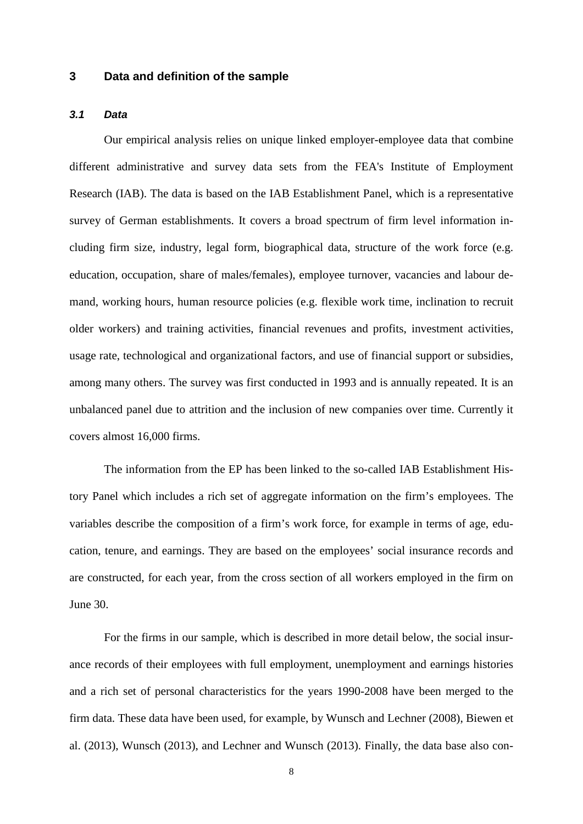### **3 Data and definition of the sample**

### *3.1 Data*

Our empirical analysis relies on unique linked employer-employee data that combine different administrative and survey data sets from the FEA's Institute of Employment Research (IAB). The data is based on the IAB Establishment Panel, which is a representative survey of German establishments. It covers a broad spectrum of firm level information including firm size, industry, legal form, biographical data, structure of the work force (e.g. education, occupation, share of males/females), employee turnover, vacancies and labour demand, working hours, human resource policies (e.g. flexible work time, inclination to recruit older workers) and training activities, financial revenues and profits, investment activities, usage rate, technological and organizational factors, and use of financial support or subsidies, among many others. The survey was first conducted in 1993 and is annually repeated. It is an unbalanced panel due to attrition and the inclusion of new companies over time. Currently it covers almost 16,000 firms.

The information from the EP has been linked to the so-called IAB Establishment History Panel which includes a rich set of aggregate information on the firm's employees. The variables describe the composition of a firm's work force, for example in terms of age, education, tenure, and earnings. They are based on the employees' social insurance records and are constructed, for each year, from the cross section of all workers employed in the firm on June 30.

For the firms in our sample, which is described in more detail below, the social insurance records of their employees with full employment, unemployment and earnings histories and a rich set of personal characteristics for the years 1990-2008 have been merged to the firm data. These data have been used, for example, by Wunsch and Lechner (2008), Biewen et al. (2013), Wunsch (2013), and Lechner and Wunsch (2013). Finally, the data base also con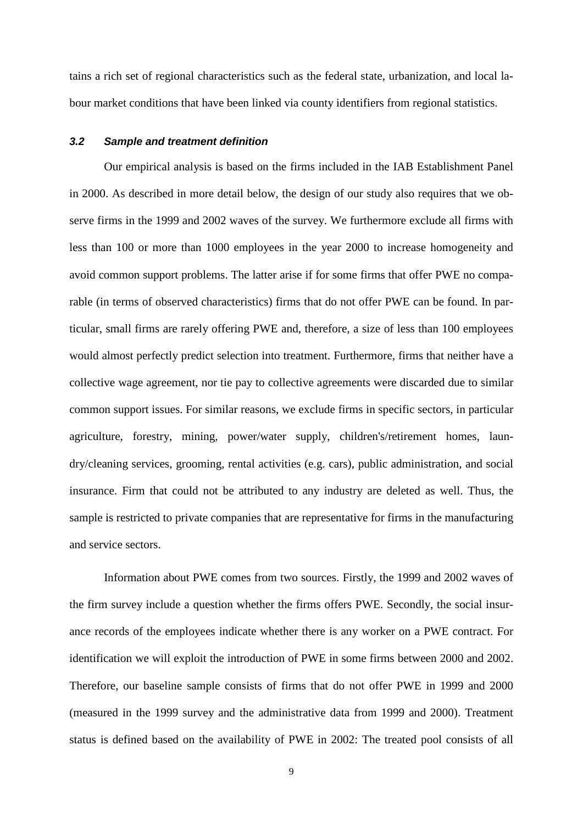tains a rich set of regional characteristics such as the federal state, urbanization, and local labour market conditions that have been linked via county identifiers from regional statistics.

#### *3.2 Sample and treatment definition*

Our empirical analysis is based on the firms included in the IAB Establishment Panel in 2000. As described in more detail below, the design of our study also requires that we observe firms in the 1999 and 2002 waves of the survey. We furthermore exclude all firms with less than 100 or more than 1000 employees in the year 2000 to increase homogeneity and avoid common support problems. The latter arise if for some firms that offer PWE no comparable (in terms of observed characteristics) firms that do not offer PWE can be found. In particular, small firms are rarely offering PWE and, therefore, a size of less than 100 employees would almost perfectly predict selection into treatment. Furthermore, firms that neither have a collective wage agreement, nor tie pay to collective agreements were discarded due to similar common support issues. For similar reasons, we exclude firms in specific sectors, in particular agriculture, forestry, mining, power/water supply, children's/retirement homes, laundry/cleaning services, grooming, rental activities (e.g. cars), public administration, and social insurance. Firm that could not be attributed to any industry are deleted as well. Thus, the sample is restricted to private companies that are representative for firms in the manufacturing and service sectors.

Information about PWE comes from two sources. Firstly, the 1999 and 2002 waves of the firm survey include a question whether the firms offers PWE. Secondly, the social insurance records of the employees indicate whether there is any worker on a PWE contract. For identification we will exploit the introduction of PWE in some firms between 2000 and 2002. Therefore, our baseline sample consists of firms that do not offer PWE in 1999 and 2000 (measured in the 1999 survey and the administrative data from 1999 and 2000). Treatment status is defined based on the availability of PWE in 2002: The treated pool consists of all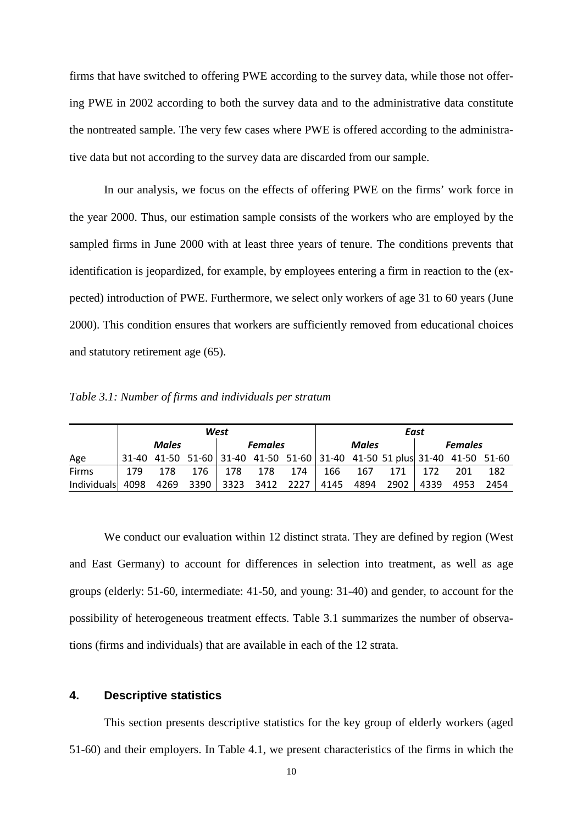firms that have switched to offering PWE according to the survey data, while those not offering PWE in 2002 according to both the survey data and to the administrative data constitute the nontreated sample. The very few cases where PWE is offered according to the administrative data but not according to the survey data are discarded from our sample.

In our analysis, we focus on the effects of offering PWE on the firms' work force in the year 2000. Thus, our estimation sample consists of the workers who are employed by the sampled firms in June 2000 with at least three years of tenure. The conditions prevents that identification is jeopardized, for example, by employees entering a firm in reaction to the (expected) introduction of PWE. Furthermore, we select only workers of age 31 to 60 years (June 2000). This condition ensures that workers are sufficiently removed from educational choices and statutory retirement age (65).

*Table 3.1: Number of firms and individuals per stratum*

|                                                               | West |              |  |  | East                           |                   |  |         |                                                                           |     |           |     |
|---------------------------------------------------------------|------|--------------|--|--|--------------------------------|-------------------|--|---------|---------------------------------------------------------------------------|-----|-----------|-----|
|                                                               |      | <b>Males</b> |  |  | <b>Males</b><br><b>Females</b> |                   |  |         | <b>Females</b>                                                            |     |           |     |
| Age                                                           |      |              |  |  |                                |                   |  |         | 31-40 41-50 51-60 31-40 41-50 51-60 31-40 41-50 51 plus 31-40 41-50 51-60 |     |           |     |
| Firms                                                         | 179  | 178          |  |  |                                | 176   178 178 174 |  | 166 167 | 171 I                                                                     | 172 | 201       | 182 |
| Individuals 4098 4269 3390 3323 3412 2227 4145 4894 2902 4339 |      |              |  |  |                                |                   |  |         |                                                                           |     | 4953 2454 |     |

We conduct our evaluation within 12 distinct strata. They are defined by region (West and East Germany) to account for differences in selection into treatment, as well as age groups (elderly: 51-60, intermediate: 41-50, and young: 31-40) and gender, to account for the possibility of heterogeneous treatment effects. Table 3.1 summarizes the number of observations (firms and individuals) that are available in each of the 12 strata.

### **4. Descriptive statistics**

This section presents descriptive statistics for the key group of elderly workers (aged 51-60) and their employers. In Table 4.1, we present characteristics of the firms in which the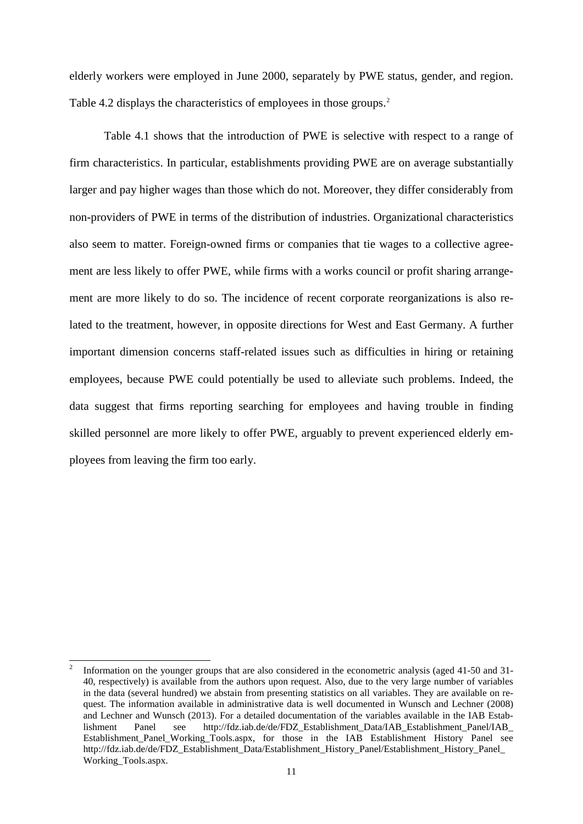elderly workers were employed in June 2000, separately by PWE status, gender, and region. Table 4.2 displays the characteristics of employees in those groups. [2](#page-13-0)

Table 4.1 shows that the introduction of PWE is selective with respect to a range of firm characteristics. In particular, establishments providing PWE are on average substantially larger and pay higher wages than those which do not. Moreover, they differ considerably from non-providers of PWE in terms of the distribution of industries. Organizational characteristics also seem to matter. Foreign-owned firms or companies that tie wages to a collective agreement are less likely to offer PWE, while firms with a works council or profit sharing arrangement are more likely to do so. The incidence of recent corporate reorganizations is also related to the treatment, however, in opposite directions for West and East Germany. A further important dimension concerns staff-related issues such as difficulties in hiring or retaining employees, because PWE could potentially be used to alleviate such problems. Indeed, the data suggest that firms reporting searching for employees and having trouble in finding skilled personnel are more likely to offer PWE, arguably to prevent experienced elderly employees from leaving the firm too early.

<span id="page-13-0"></span> <sup>2</sup> Information on the younger groups that are also considered in the econometric analysis (aged 41-50 and 31- 40, respectively) is available from the authors upon request. Also, due to the very large number of variables in the data (several hundred) we abstain from presenting statistics on all variables. They are available on request. The information available in administrative data is well documented in Wunsch and Lechner (2008) and Lechner and Wunsch (2013). For a detailed documentation of the variables available in the IAB Estab-<br>lishment Panel see http://fdz.iab.de/de/FDZ Establishment Data/IAB Establishment Panel/IAB lishment Panel see http://fdz.iab.de/de/FDZ\_Establishment\_Data/IAB\_Establishment\_Panel/IAB\_ Establishment\_Panel\_Working\_Tools.aspx, for those in the IAB Establishment History Panel see http://fdz.iab.de/de/FDZ\_Establishment\_Data/Establishment\_History\_Panel/Establishment\_History\_Panel\_ Working\_Tools.aspx.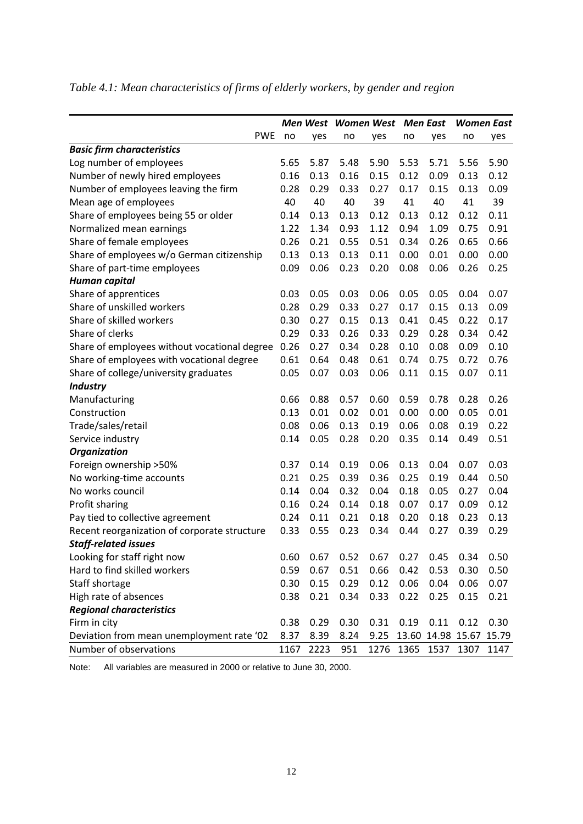|                                              |      |      | Men West Women West |      | <b>Men East</b> |                   | <b>Women East</b> |       |
|----------------------------------------------|------|------|---------------------|------|-----------------|-------------------|-------------------|-------|
| <b>PWE</b>                                   | no   | yes  | no                  | yes  | no              | yes               | no                | yes   |
| <b>Basic firm characteristics</b>            |      |      |                     |      |                 |                   |                   |       |
| Log number of employees                      | 5.65 | 5.87 | 5.48                | 5.90 | 5.53            | 5.71              | 5.56              | 5.90  |
| Number of newly hired employees              | 0.16 | 0.13 | 0.16                | 0.15 | 0.12            | 0.09              | 0.13              | 0.12  |
| Number of employees leaving the firm         | 0.28 | 0.29 | 0.33                | 0.27 | 0.17            | 0.15              | 0.13              | 0.09  |
| Mean age of employees                        | 40   | 40   | 40                  | 39   | 41              | 40                | 41                | 39    |
| Share of employees being 55 or older         | 0.14 | 0.13 | 0.13                | 0.12 | 0.13            | 0.12              | 0.12              | 0.11  |
| Normalized mean earnings                     | 1.22 | 1.34 | 0.93                | 1.12 | 0.94            | 1.09              | 0.75              | 0.91  |
| Share of female employees                    | 0.26 | 0.21 | 0.55                | 0.51 | 0.34            | 0.26              | 0.65              | 0.66  |
| Share of employees w/o German citizenship    | 0.13 | 0.13 | 0.13                | 0.11 | 0.00            | 0.01              | 0.00              | 0.00  |
| Share of part-time employees                 | 0.09 | 0.06 | 0.23                | 0.20 | 0.08            | 0.06              | 0.26              | 0.25  |
| Human capital                                |      |      |                     |      |                 |                   |                   |       |
| Share of apprentices                         | 0.03 | 0.05 | 0.03                | 0.06 | 0.05            | 0.05              | 0.04              | 0.07  |
| Share of unskilled workers                   | 0.28 | 0.29 | 0.33                | 0.27 | 0.17            | 0.15              | 0.13              | 0.09  |
| Share of skilled workers                     | 0.30 | 0.27 | 0.15                | 0.13 | 0.41            | 0.45              | 0.22              | 0.17  |
| Share of clerks                              | 0.29 | 0.33 | 0.26                | 0.33 | 0.29            | 0.28              | 0.34              | 0.42  |
| Share of employees without vocational degree | 0.26 | 0.27 | 0.34                | 0.28 | 0.10            | 0.08              | 0.09              | 0.10  |
| Share of employees with vocational degree    | 0.61 | 0.64 | 0.48                | 0.61 | 0.74            | 0.75              | 0.72              | 0.76  |
| Share of college/university graduates        | 0.05 | 0.07 | 0.03                | 0.06 | 0.11            | 0.15              | 0.07              | 0.11  |
| <b>Industry</b>                              |      |      |                     |      |                 |                   |                   |       |
| Manufacturing                                | 0.66 | 0.88 | 0.57                | 0.60 | 0.59            | 0.78              | 0.28              | 0.26  |
| Construction                                 | 0.13 | 0.01 | 0.02                | 0.01 | 0.00            | 0.00              | 0.05              | 0.01  |
| Trade/sales/retail                           | 0.08 | 0.06 | 0.13                | 0.19 | 0.06            | 0.08              | 0.19              | 0.22  |
| Service industry                             | 0.14 | 0.05 | 0.28                | 0.20 | 0.35            | 0.14              | 0.49              | 0.51  |
| <b>Organization</b>                          |      |      |                     |      |                 |                   |                   |       |
| Foreign ownership > 50%                      | 0.37 | 0.14 | 0.19                | 0.06 | 0.13            | 0.04              | 0.07              | 0.03  |
| No working-time accounts                     | 0.21 | 0.25 | 0.39                | 0.36 | 0.25            | 0.19              | 0.44              | 0.50  |
| No works council                             | 0.14 | 0.04 | 0.32                | 0.04 | 0.18            | 0.05              | 0.27              | 0.04  |
| Profit sharing                               | 0.16 | 0.24 | 0.14                | 0.18 | 0.07            | 0.17              | 0.09              | 0.12  |
| Pay tied to collective agreement             | 0.24 | 0.11 | 0.21                | 0.18 | 0.20            | 0.18              | 0.23              | 0.13  |
| Recent reorganization of corporate structure | 0.33 | 0.55 | 0.23                | 0.34 | 0.44            | 0.27              | 0.39              | 0.29  |
| <b>Staff-related issues</b>                  |      |      |                     |      |                 |                   |                   |       |
| Looking for staff right now                  | 0.60 | 0.67 | 0.52                | 0.67 | 0.27            | 0.45              | 0.34              | 0.50  |
| Hard to find skilled workers                 | 0.59 | 0.67 | 0.51                | 0.66 | 0.42            | 0.53              | 0.30              | 0.50  |
| Staff shortage                               | 0.30 | 0.15 | 0.29                | 0.12 | 0.06            | 0.04              | 0.06              | 0.07  |
| High rate of absences                        | 0.38 | 0.21 | 0.34                | 0.33 | 0.22            | 0.25              | 0.15              | 0.21  |
| <b>Regional characteristics</b>              |      |      |                     |      |                 |                   |                   |       |
| Firm in city                                 | 0.38 | 0.29 | 0.30                | 0.31 | 0.19            | 0.11              | 0.12              | 0.30  |
| Deviation from mean unemployment rate '02    | 8.37 | 8.39 | 8.24                | 9.25 |                 | 13.60 14.98 15.67 |                   | 15.79 |
| Number of observations                       | 1167 | 2223 | 951                 | 1276 | 1365            | 1537              | 1307              | 1147  |

# *Table 4.1: Mean characteristics of firms of elderly workers, by gender and region*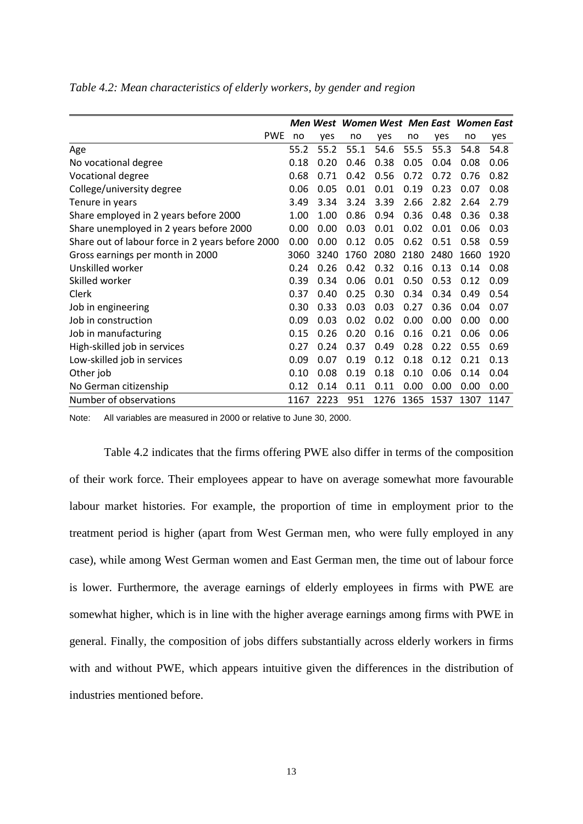|                                                  |      |      | Men West Women West Men East Women East |      |      |      |      |      |
|--------------------------------------------------|------|------|-----------------------------------------|------|------|------|------|------|
| <b>PWE</b>                                       | no   | yes  | no                                      | yes  | no   | yes  | no   | yes  |
| Age                                              | 55.2 | 55.2 | 55.1                                    | 54.6 | 55.5 | 55.3 | 54.8 | 54.8 |
| No vocational degree                             | 0.18 | 0.20 | 0.46                                    | 0.38 | 0.05 | 0.04 | 0.08 | 0.06 |
| Vocational degree                                | 0.68 | 0.71 | 0.42                                    | 0.56 | 0.72 | 0.72 | 0.76 | 0.82 |
| College/university degree                        | 0.06 | 0.05 | 0.01                                    | 0.01 | 0.19 | 0.23 | 0.07 | 0.08 |
| Tenure in years                                  | 3.49 | 3.34 | 3.24                                    | 3.39 | 2.66 | 2.82 | 2.64 | 2.79 |
| Share employed in 2 years before 2000            | 1.00 | 1.00 | 0.86                                    | 0.94 | 0.36 | 0.48 | 0.36 | 0.38 |
| Share unemployed in 2 years before 2000          | 0.00 | 0.00 | 0.03                                    | 0.01 | 0.02 | 0.01 | 0.06 | 0.03 |
| Share out of labour force in 2 years before 2000 | 0.00 | 0.00 | 0.12                                    | 0.05 | 0.62 | 0.51 | 0.58 | 0.59 |
| Gross earnings per month in 2000                 | 3060 | 3240 | 1760                                    | 2080 | 2180 | 2480 | 1660 | 1920 |
| Unskilled worker                                 | 0.24 | 0.26 | 0.42                                    | 0.32 | 0.16 | 0.13 | 0.14 | 0.08 |
| Skilled worker                                   | 0.39 | 0.34 | 0.06                                    | 0.01 | 0.50 | 0.53 | 0.12 | 0.09 |
| Clerk                                            | 0.37 | 0.40 | 0.25                                    | 0.30 | 0.34 | 0.34 | 0.49 | 0.54 |
| Job in engineering                               | 0.30 | 0.33 | 0.03                                    | 0.03 | 0.27 | 0.36 | 0.04 | 0.07 |
| Job in construction                              | 0.09 | 0.03 | 0.02                                    | 0.02 | 0.00 | 0.00 | 0.00 | 0.00 |
| Job in manufacturing                             | 0.15 | 0.26 | 0.20                                    | 0.16 | 0.16 | 0.21 | 0.06 | 0.06 |
| High-skilled job in services                     | 0.27 | 0.24 | 0.37                                    | 0.49 | 0.28 | 0.22 | 0.55 | 0.69 |
| Low-skilled job in services                      | 0.09 | 0.07 | 0.19                                    | 0.12 | 0.18 | 0.12 | 0.21 | 0.13 |
| Other job                                        | 0.10 | 0.08 | 0.19                                    | 0.18 | 0.10 | 0.06 | 0.14 | 0.04 |
| No German citizenship                            | 0.12 | 0.14 | 0.11                                    | 0.11 | 0.00 | 0.00 | 0.00 | 0.00 |
| Number of observations                           | 1167 | 2223 | 951                                     | 1276 | 1365 | 1537 | 1307 | 1147 |

*Table 4.2: Mean characteristics of elderly workers, by gender and region*

Note: All variables are measured in 2000 or relative to June 30, 2000.

Table 4.2 indicates that the firms offering PWE also differ in terms of the composition of their work force. Their employees appear to have on average somewhat more favourable labour market histories. For example, the proportion of time in employment prior to the treatment period is higher (apart from West German men, who were fully employed in any case), while among West German women and East German men, the time out of labour force is lower. Furthermore, the average earnings of elderly employees in firms with PWE are somewhat higher, which is in line with the higher average earnings among firms with PWE in general. Finally, the composition of jobs differs substantially across elderly workers in firms with and without PWE, which appears intuitive given the differences in the distribution of industries mentioned before.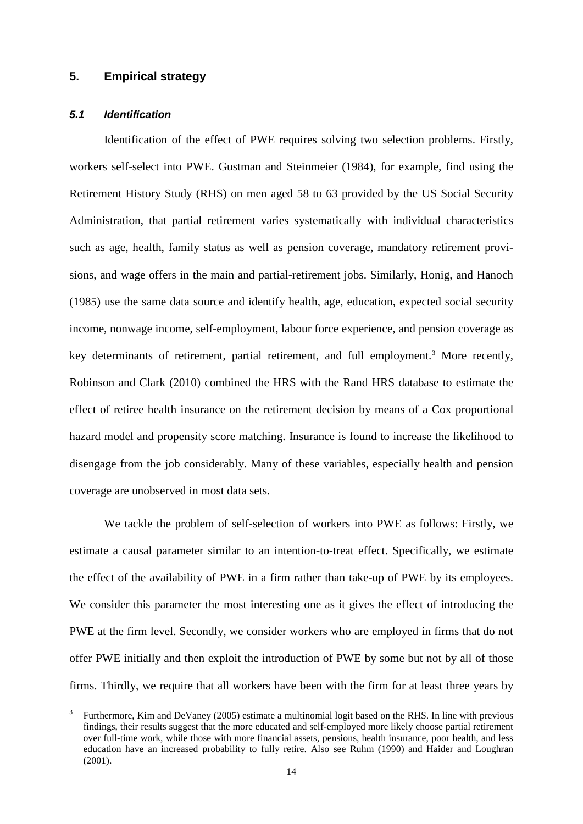### **5. Empirical strategy**

### *5.1 Identification*

Identification of the effect of PWE requires solving two selection problems. Firstly, workers self-select into PWE. Gustman and Steinmeier (1984), for example, find using the Retirement History Study (RHS) on men aged 58 to 63 provided by the US Social Security Administration, that partial retirement varies systematically with individual characteristics such as age, health, family status as well as pension coverage, mandatory retirement provisions, and wage offers in the main and partial-retirement jobs. Similarly, Honig, and Hanoch (1985) use the same data source and identify health, age, education, expected social security income, nonwage income, self-employment, labour force experience, and pension coverage as key determinants of retirement, partial retirement, and full employment.<sup>3</sup> More recently, Robinson and Clark (2010) combined the HRS with the Rand HRS database to estimate the effect of retiree health insurance on the retirement decision by means of a Cox proportional hazard model and propensity score matching. Insurance is found to increase the likelihood to disengage from the job considerably. Many of these variables, especially health and pension coverage are unobserved in most data sets.

We tackle the problem of self-selection of workers into PWE as follows: Firstly, we estimate a causal parameter similar to an intention-to-treat effect. Specifically, we estimate the effect of the availability of PWE in a firm rather than take-up of PWE by its employees. We consider this parameter the most interesting one as it gives the effect of introducing the PWE at the firm level. Secondly, we consider workers who are employed in firms that do not offer PWE initially and then exploit the introduction of PWE by some but not by all of those firms. Thirdly, we require that all workers have been with the firm for at least three years by

<span id="page-16-0"></span> <sup>3</sup> Furthermore, Kim and DeVaney (2005) estimate a multinomial logit based on the RHS. In line with previous findings, their results suggest that the more educated and self-employed more likely choose partial retirement over full-time work, while those with more financial assets, pensions, health insurance, poor health, and less education have an increased probability to fully retire. Also see Ruhm (1990) and Haider and Loughran (2001).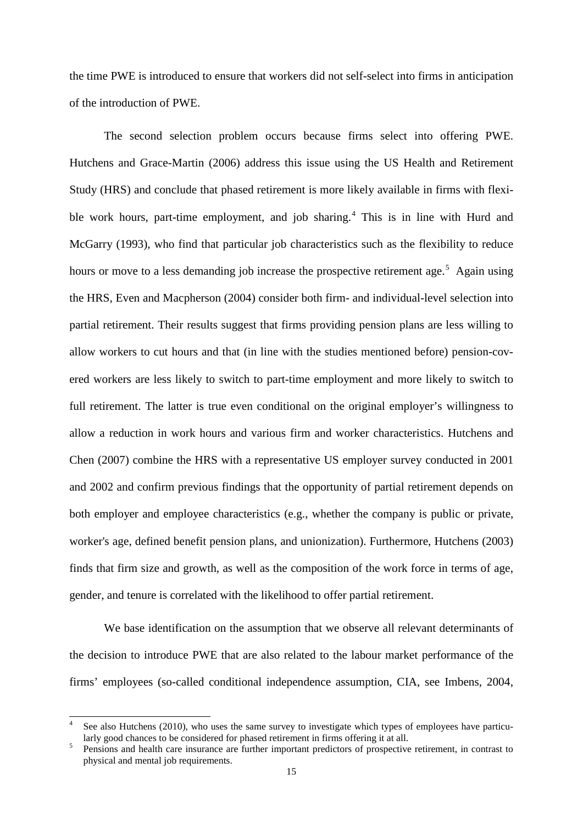the time PWE is introduced to ensure that workers did not self-select into firms in anticipation of the introduction of PWE.

The second selection problem occurs because firms select into offering PWE. Hutchens and Grace-Martin (2006) address this issue using the US Health and Retirement Study (HRS) and conclude that phased retirement is more likely available in firms with flexible work hours, part-time employment, and job sharing. [4](#page-17-0) This is in line with Hurd and McGarry (1993), who find that particular job characteristics such as the flexibility to reduce hours or move to a less demanding job increase the prospective retirement age.<sup>[5](#page-17-1)</sup> Again using the HRS, Even and Macpherson (2004) consider both firm- and individual-level selection into partial retirement. Their results suggest that firms providing pension plans are less willing to allow workers to cut hours and that (in line with the studies mentioned before) pension-covered workers are less likely to switch to part-time employment and more likely to switch to full retirement. The latter is true even conditional on the original employer's willingness to allow a reduction in work hours and various firm and worker characteristics. Hutchens and Chen (2007) combine the HRS with a representative US employer survey conducted in 2001 and 2002 and confirm previous findings that the opportunity of partial retirement depends on both employer and employee characteristics (e.g., whether the company is public or private, worker's age, defined benefit pension plans, and unionization). Furthermore, Hutchens (2003) finds that firm size and growth, as well as the composition of the work force in terms of age, gender, and tenure is correlated with the likelihood to offer partial retirement.

We base identification on the assumption that we observe all relevant determinants of the decision to introduce PWE that are also related to the labour market performance of the firms' employees (so-called conditional independence assumption, CIA, see Imbens, 2004,

<span id="page-17-0"></span>See also Hutchens (2010), who uses the same survey to investigate which types of employees have particularly good chances to be considered for phased retirement in firms offering it at all.

<span id="page-17-1"></span>Pensions and health care insurance are further important predictors of prospective retirement, in contrast to physical and mental job requirements.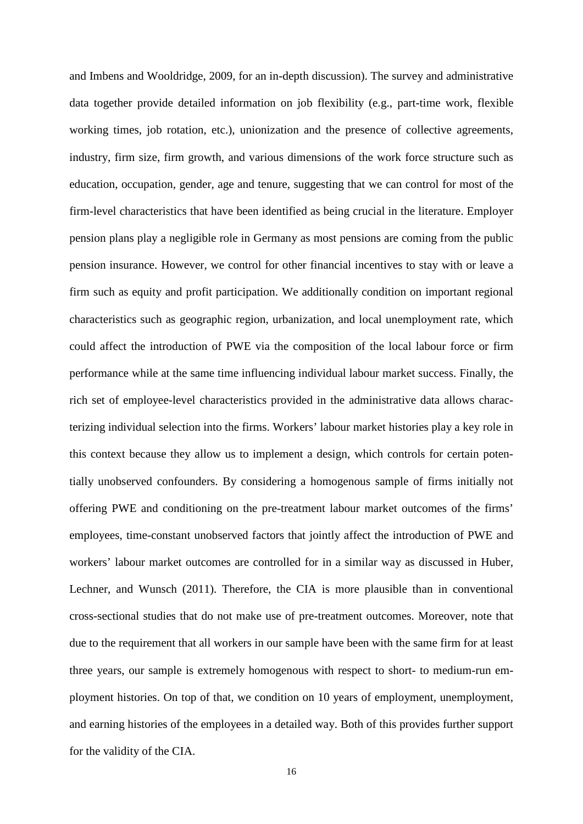and Imbens and Wooldridge, 2009, for an in-depth discussion). The survey and administrative data together provide detailed information on job flexibility (e.g., part-time work, flexible working times, job rotation, etc.), unionization and the presence of collective agreements, industry, firm size, firm growth, and various dimensions of the work force structure such as education, occupation, gender, age and tenure, suggesting that we can control for most of the firm-level characteristics that have been identified as being crucial in the literature. Employer pension plans play a negligible role in Germany as most pensions are coming from the public pension insurance. However, we control for other financial incentives to stay with or leave a firm such as equity and profit participation. We additionally condition on important regional characteristics such as geographic region, urbanization, and local unemployment rate, which could affect the introduction of PWE via the composition of the local labour force or firm performance while at the same time influencing individual labour market success. Finally, the rich set of employee-level characteristics provided in the administrative data allows characterizing individual selection into the firms. Workers' labour market histories play a key role in this context because they allow us to implement a design, which controls for certain potentially unobserved confounders. By considering a homogenous sample of firms initially not offering PWE and conditioning on the pre-treatment labour market outcomes of the firms' employees, time-constant unobserved factors that jointly affect the introduction of PWE and workers' labour market outcomes are controlled for in a similar way as discussed in Huber, Lechner, and Wunsch (2011). Therefore, the CIA is more plausible than in conventional cross-sectional studies that do not make use of pre-treatment outcomes. Moreover, note that due to the requirement that all workers in our sample have been with the same firm for at least three years, our sample is extremely homogenous with respect to short- to medium-run employment histories. On top of that, we condition on 10 years of employment, unemployment, and earning histories of the employees in a detailed way. Both of this provides further support for the validity of the CIA.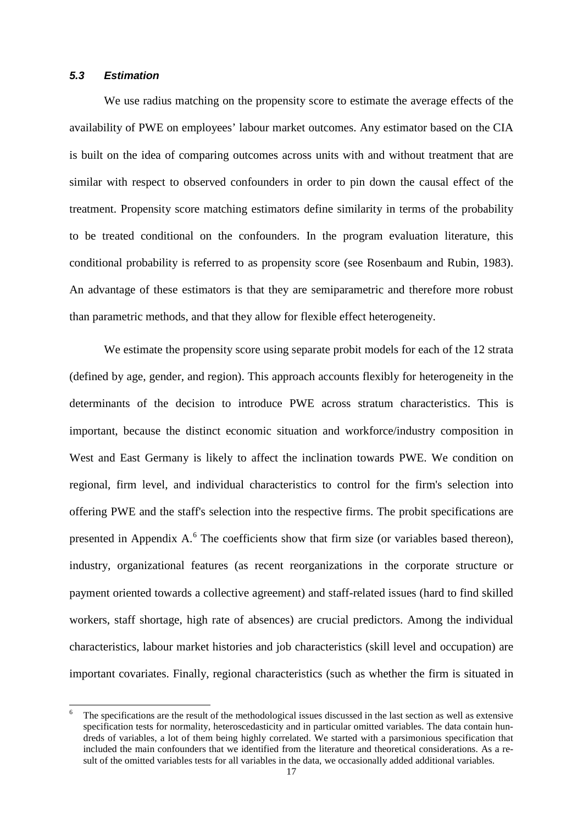#### *5.3 Estimation*

We use radius matching on the propensity score to estimate the average effects of the availability of PWE on employees' labour market outcomes. Any estimator based on the CIA is built on the idea of comparing outcomes across units with and without treatment that are similar with respect to observed confounders in order to pin down the causal effect of the treatment. Propensity score matching estimators define similarity in terms of the probability to be treated conditional on the confounders. In the program evaluation literature, this conditional probability is referred to as propensity score (see Rosenbaum and Rubin, 1983). An advantage of these estimators is that they are semiparametric and therefore more robust than parametric methods, and that they allow for flexible effect heterogeneity.

We estimate the propensity score using separate probit models for each of the 12 strata (defined by age, gender, and region). This approach accounts flexibly for heterogeneity in the determinants of the decision to introduce PWE across stratum characteristics. This is important, because the distinct economic situation and workforce/industry composition in West and East Germany is likely to affect the inclination towards PWE. We condition on regional, firm level, and individual characteristics to control for the firm's selection into offering PWE and the staff's selection into the respective firms. The probit specifications are presented in Appendix A.<sup>[6](#page-19-0)</sup> The coefficients show that firm size (or variables based thereon), industry, organizational features (as recent reorganizations in the corporate structure or payment oriented towards a collective agreement) and staff-related issues (hard to find skilled workers, staff shortage, high rate of absences) are crucial predictors. Among the individual characteristics, labour market histories and job characteristics (skill level and occupation) are important covariates. Finally, regional characteristics (such as whether the firm is situated in

<span id="page-19-0"></span> <sup>6</sup> The specifications are the result of the methodological issues discussed in the last section as well as extensive specification tests for normality, heteroscedasticity and in particular omitted variables. The data contain hundreds of variables, a lot of them being highly correlated. We started with a parsimonious specification that included the main confounders that we identified from the literature and theoretical considerations. As a result of the omitted variables tests for all variables in the data, we occasionally added additional variables.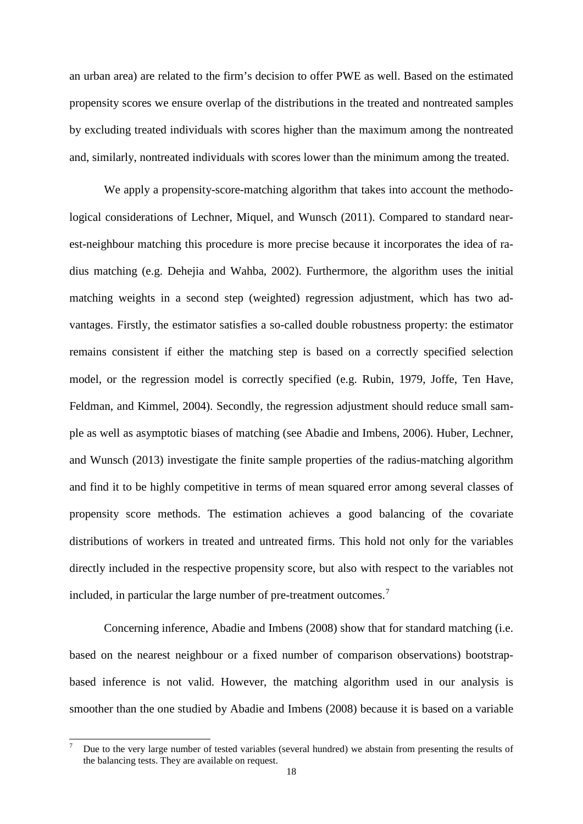an urban area) are related to the firm's decision to offer PWE as well. Based on the estimated propensity scores we ensure overlap of the distributions in the treated and nontreated samples by excluding treated individuals with scores higher than the maximum among the nontreated and, similarly, nontreated individuals with scores lower than the minimum among the treated.

We apply a propensity-score-matching algorithm that takes into account the methodological considerations of Lechner, Miquel, and Wunsch (2011). Compared to standard nearest-neighbour matching this procedure is more precise because it incorporates the idea of radius matching (e.g. Dehejia and Wahba, 2002). Furthermore, the algorithm uses the initial matching weights in a second step (weighted) regression adjustment, which has two advantages. Firstly, the estimator satisfies a so-called double robustness property: the estimator remains consistent if either the matching step is based on a correctly specified selection model, or the regression model is correctly specified (e.g. Rubin, 1979, Joffe, Ten Have, Feldman, and Kimmel, 2004). Secondly, the regression adjustment should reduce small sample as well as asymptotic biases of matching (see Abadie and Imbens, 2006). Huber, Lechner, and Wunsch (2013) investigate the finite sample properties of the radius-matching algorithm and find it to be highly competitive in terms of mean squared error among several classes of propensity score methods. The estimation achieves a good balancing of the covariate distributions of workers in treated and untreated firms. This hold not only for the variables directly included in the respective propensity score, but also with respect to the variables not included, in particular the large number of pre-treatment outcomes.<sup>[7](#page-20-0)</sup>

Concerning inference, Abadie and Imbens (2008) show that for standard matching (i.e. based on the nearest neighbour or a fixed number of comparison observations) bootstrapbased inference is not valid. However, the matching algorithm used in our analysis is smoother than the one studied by Abadie and Imbens (2008) because it is based on a variable

<span id="page-20-0"></span> <sup>7</sup> Due to the very large number of tested variables (several hundred) we abstain from presenting the results of the balancing tests. They are available on request.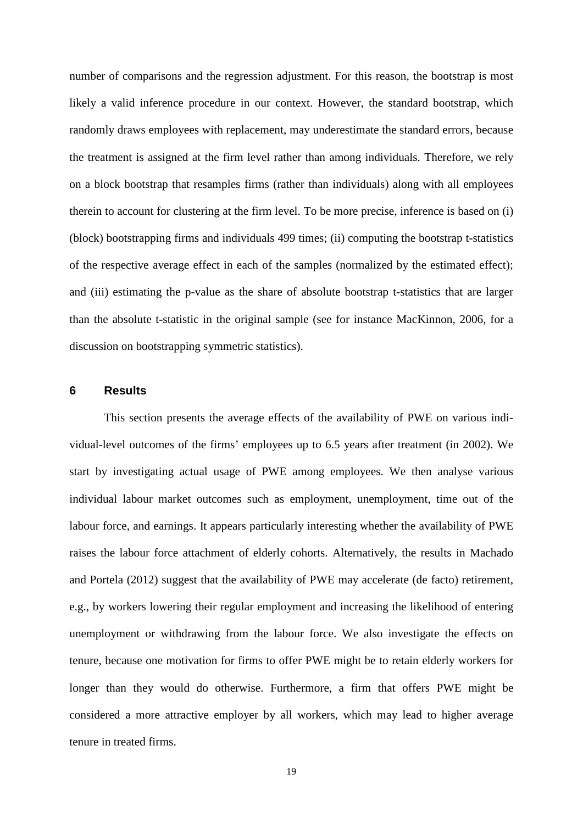number of comparisons and the regression adjustment. For this reason, the bootstrap is most likely a valid inference procedure in our context. However, the standard bootstrap, which randomly draws employees with replacement, may underestimate the standard errors, because the treatment is assigned at the firm level rather than among individuals. Therefore, we rely on a block bootstrap that resamples firms (rather than individuals) along with all employees therein to account for clustering at the firm level. To be more precise, inference is based on (i) (block) bootstrapping firms and individuals 499 times; (ii) computing the bootstrap t-statistics of the respective average effect in each of the samples (normalized by the estimated effect); and (iii) estimating the p-value as the share of absolute bootstrap t-statistics that are larger than the absolute t-statistic in the original sample (see for instance MacKinnon, 2006, for a discussion on bootstrapping symmetric statistics).

#### **6 Results**

This section presents the average effects of the availability of PWE on various individual-level outcomes of the firms' employees up to 6.5 years after treatment (in 2002). We start by investigating actual usage of PWE among employees. We then analyse various individual labour market outcomes such as employment, unemployment, time out of the labour force, and earnings. It appears particularly interesting whether the availability of PWE raises the labour force attachment of elderly cohorts. Alternatively, the results in Machado and Portela (2012) suggest that the availability of PWE may accelerate (de facto) retirement, e.g., by workers lowering their regular employment and increasing the likelihood of entering unemployment or withdrawing from the labour force. We also investigate the effects on tenure, because one motivation for firms to offer PWE might be to retain elderly workers for longer than they would do otherwise. Furthermore, a firm that offers PWE might be considered a more attractive employer by all workers, which may lead to higher average tenure in treated firms.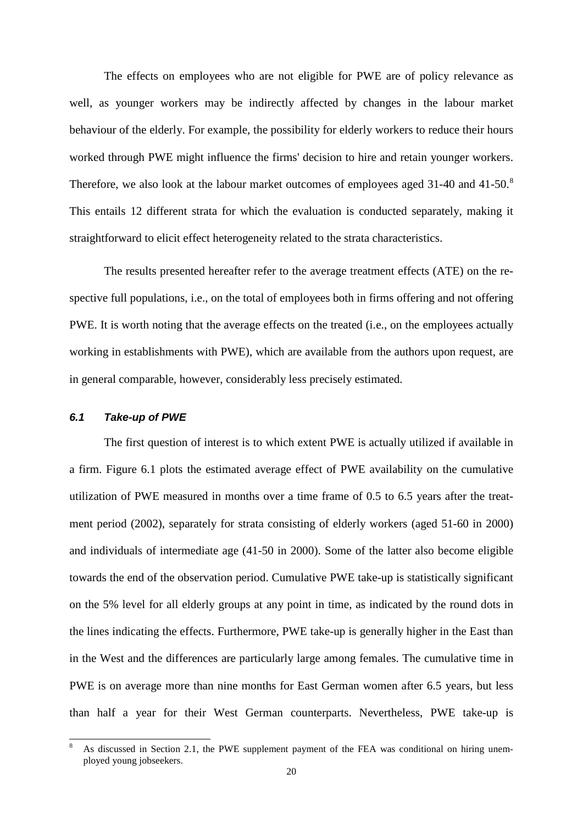The effects on employees who are not eligible for PWE are of policy relevance as well, as younger workers may be indirectly affected by changes in the labour market behaviour of the elderly. For example, the possibility for elderly workers to reduce their hours worked through PWE might influence the firms' decision to hire and retain younger workers. Therefore, we also look at the labour market outcomes of employees aged 31-40 and 41-50.<sup>[8](#page-22-0)</sup> This entails 12 different strata for which the evaluation is conducted separately, making it straightforward to elicit effect heterogeneity related to the strata characteristics.

The results presented hereafter refer to the average treatment effects (ATE) on the respective full populations, i.e., on the total of employees both in firms offering and not offering PWE. It is worth noting that the average effects on the treated (i.e., on the employees actually working in establishments with PWE), which are available from the authors upon request, are in general comparable, however, considerably less precisely estimated.

### *6.1 Take-up of PWE*

The first question of interest is to which extent PWE is actually utilized if available in a firm. Figure 6.1 plots the estimated average effect of PWE availability on the cumulative utilization of PWE measured in months over a time frame of 0.5 to 6.5 years after the treatment period (2002), separately for strata consisting of elderly workers (aged 51-60 in 2000) and individuals of intermediate age (41-50 in 2000). Some of the latter also become eligible towards the end of the observation period. Cumulative PWE take-up is statistically significant on the 5% level for all elderly groups at any point in time, as indicated by the round dots in the lines indicating the effects. Furthermore, PWE take-up is generally higher in the East than in the West and the differences are particularly large among females. The cumulative time in PWE is on average more than nine months for East German women after 6.5 years, but less than half a year for their West German counterparts. Nevertheless, PWE take-up is

<span id="page-22-0"></span>As discussed in Section 2.1, the PWE supplement payment of the FEA was conditional on hiring unemployed young jobseekers.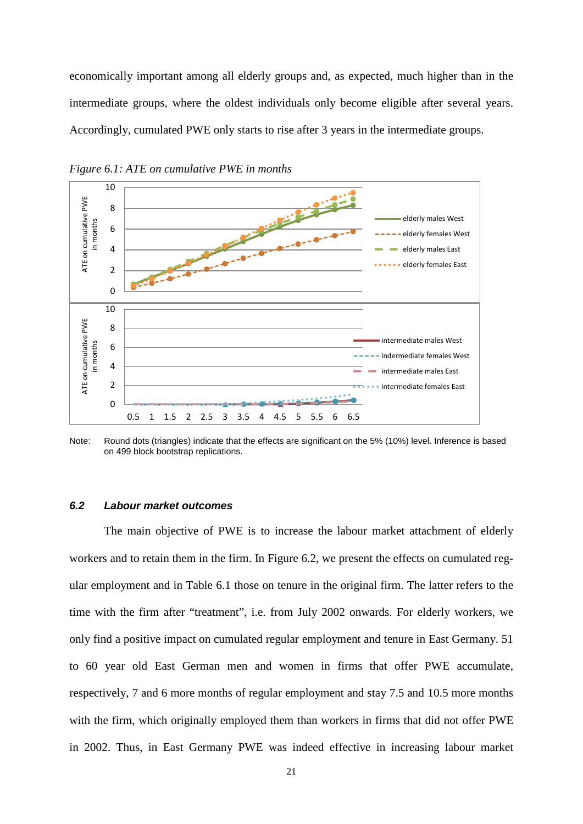economically important among all elderly groups and, as expected, much higher than in the intermediate groups, where the oldest individuals only become eligible after several years. Accordingly, cumulated PWE only starts to rise after 3 years in the intermediate groups.



*Figure 6.1: ATE on cumulative PWE in months*

Note: Round dots (triangles) indicate that the effects are significant on the 5% (10%) level. Inference is based on 499 block bootstrap replications.

#### *6.2 Labour market outcomes*

The main objective of PWE is to increase the labour market attachment of elderly workers and to retain them in the firm. In Figure 6.2, we present the effects on cumulated regular employment and in Table 6.1 those on tenure in the original firm. The latter refers to the time with the firm after "treatment", i.e. from July 2002 onwards. For elderly workers, we only find a positive impact on cumulated regular employment and tenure in East Germany. 51 to 60 year old East German men and women in firms that offer PWE accumulate, respectively, 7 and 6 more months of regular employment and stay 7.5 and 10.5 more months with the firm, which originally employed them than workers in firms that did not offer PWE in 2002. Thus, in East Germany PWE was indeed effective in increasing labour market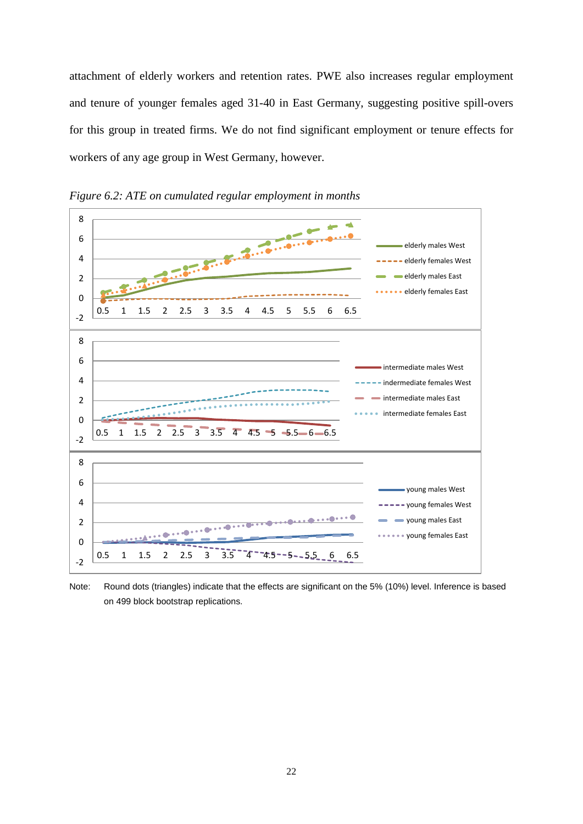attachment of elderly workers and retention rates. PWE also increases regular employment and tenure of younger females aged 31-40 in East Germany, suggesting positive spill-overs for this group in treated firms. We do not find significant employment or tenure effects for workers of any age group in West Germany, however.



*Figure 6.2: ATE on cumulated regular employment in months*

Note: Round dots (triangles) indicate that the effects are significant on the 5% (10%) level. Inference is based on 499 block bootstrap replications.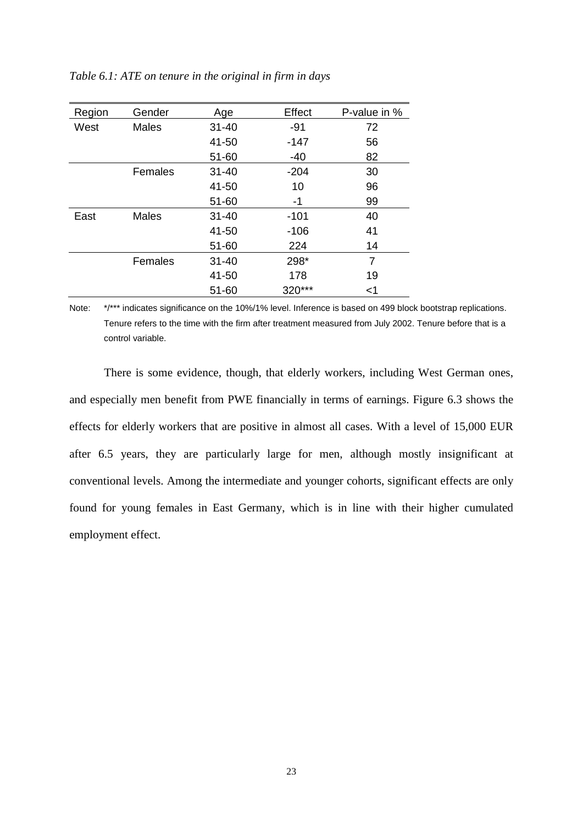| Region | Gender       | Age       | Effect | P-value in % |
|--------|--------------|-----------|--------|--------------|
| West   | <b>Males</b> | $31 - 40$ | -91    | 72           |
|        |              | 41-50     | $-147$ | 56           |
|        |              | $51 - 60$ | $-40$  | 82           |
|        | Females      | $31 - 40$ | $-204$ | 30           |
|        |              | 41-50     | 10     | 96           |
|        |              | $51 - 60$ | -1     | 99           |
| East   | <b>Males</b> | $31 - 40$ | $-101$ | 40           |
|        |              | 41-50     | $-106$ | 41           |
|        |              | $51 - 60$ | 224    | 14           |
|        | Females      | $31 - 40$ | 298*   | 7            |
|        |              | 41-50     | 178    | 19           |
|        |              | 51-60     | 320*** | <1           |

*Table 6.1: ATE on tenure in the original in firm in days*

Note: \*/\*\*\* indicates significance on the 10%/1% level. Inference is based on 499 block bootstrap replications. Tenure refers to the time with the firm after treatment measured from July 2002. Tenure before that is a control variable.

There is some evidence, though, that elderly workers, including West German ones, and especially men benefit from PWE financially in terms of earnings. Figure 6.3 shows the effects for elderly workers that are positive in almost all cases. With a level of 15,000 EUR after 6.5 years, they are particularly large for men, although mostly insignificant at conventional levels. Among the intermediate and younger cohorts, significant effects are only found for young females in East Germany, which is in line with their higher cumulated employment effect.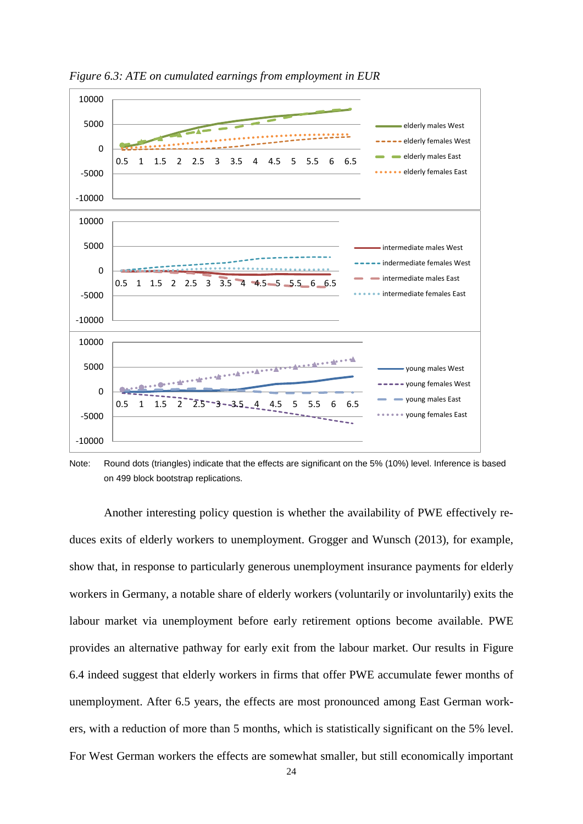

*Figure 6.3: ATE on cumulated earnings from employment in EUR*

Note: Round dots (triangles) indicate that the effects are significant on the 5% (10%) level. Inference is based on 499 block bootstrap replications.

Another interesting policy question is whether the availability of PWE effectively reduces exits of elderly workers to unemployment. Grogger and Wunsch (2013), for example, show that, in response to particularly generous unemployment insurance payments for elderly workers in Germany, a notable share of elderly workers (voluntarily or involuntarily) exits the labour market via unemployment before early retirement options become available. PWE provides an alternative pathway for early exit from the labour market. Our results in Figure 6.4 indeed suggest that elderly workers in firms that offer PWE accumulate fewer months of unemployment. After 6.5 years, the effects are most pronounced among East German workers, with a reduction of more than 5 months, which is statistically significant on the 5% level. For West German workers the effects are somewhat smaller, but still economically important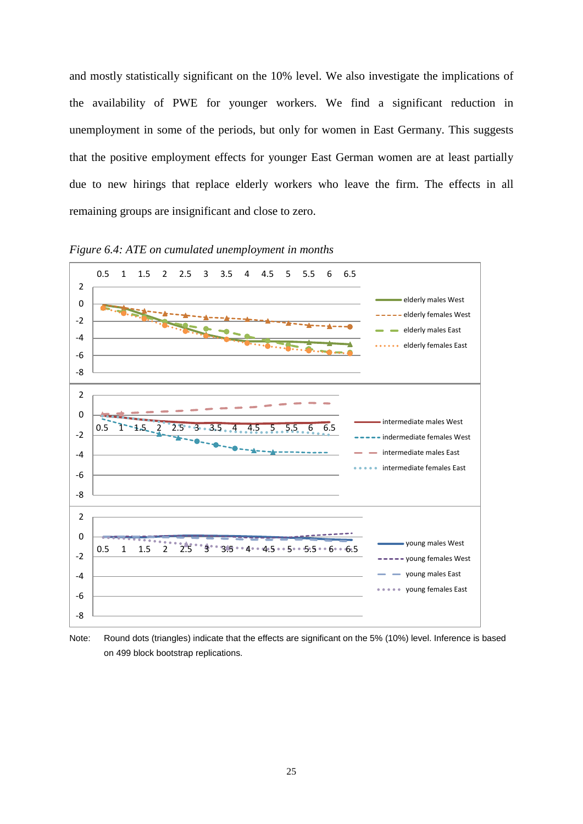and mostly statistically significant on the 10% level. We also investigate the implications of the availability of PWE for younger workers. We find a significant reduction in unemployment in some of the periods, but only for women in East Germany. This suggests that the positive employment effects for younger East German women are at least partially due to new hirings that replace elderly workers who leave the firm. The effects in all remaining groups are insignificant and close to zero.



*Figure 6.4: ATE on cumulated unemployment in months*

Note: Round dots (triangles) indicate that the effects are significant on the 5% (10%) level. Inference is based on 499 block bootstrap replications.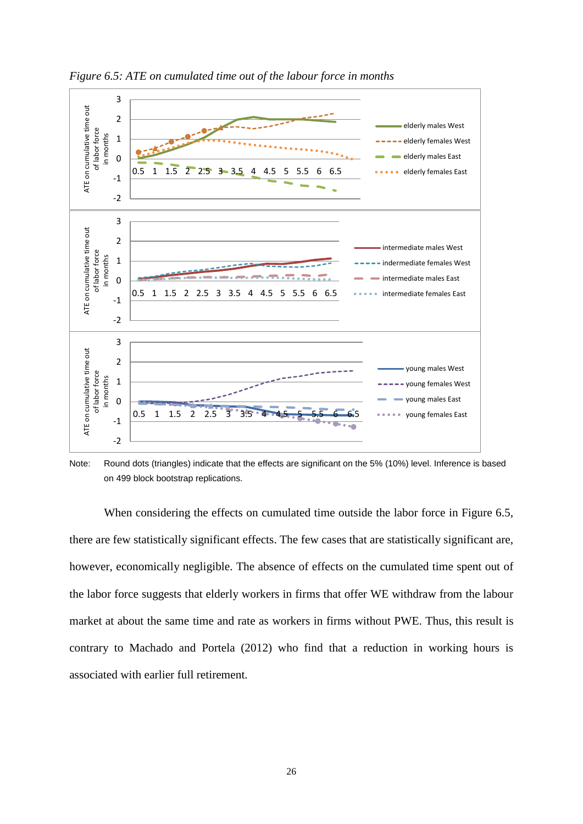

*Figure 6.5: ATE on cumulated time out of the labour force in months*

Note: Round dots (triangles) indicate that the effects are significant on the 5% (10%) level. Inference is based on 499 block bootstrap replications.

When considering the effects on cumulated time outside the labor force in Figure 6.5, there are few statistically significant effects. The few cases that are statistically significant are, however, economically negligible. The absence of effects on the cumulated time spent out of the labor force suggests that elderly workers in firms that offer WE withdraw from the labour market at about the same time and rate as workers in firms without PWE. Thus, this result is contrary to Machado and Portela (2012) who find that a reduction in working hours is associated with earlier full retirement.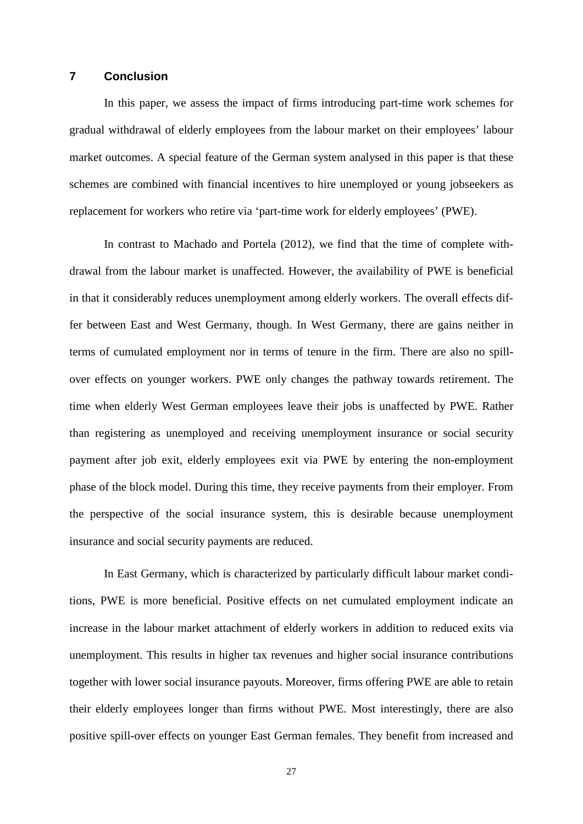#### **7 Conclusion**

In this paper, we assess the impact of firms introducing part-time work schemes for gradual withdrawal of elderly employees from the labour market on their employees' labour market outcomes. A special feature of the German system analysed in this paper is that these schemes are combined with financial incentives to hire unemployed or young jobseekers as replacement for workers who retire via 'part-time work for elderly employees' (PWE).

In contrast to Machado and Portela (2012), we find that the time of complete withdrawal from the labour market is unaffected. However, the availability of PWE is beneficial in that it considerably reduces unemployment among elderly workers. The overall effects differ between East and West Germany, though. In West Germany, there are gains neither in terms of cumulated employment nor in terms of tenure in the firm. There are also no spillover effects on younger workers. PWE only changes the pathway towards retirement. The time when elderly West German employees leave their jobs is unaffected by PWE. Rather than registering as unemployed and receiving unemployment insurance or social security payment after job exit, elderly employees exit via PWE by entering the non-employment phase of the block model. During this time, they receive payments from their employer. From the perspective of the social insurance system, this is desirable because unemployment insurance and social security payments are reduced.

In East Germany, which is characterized by particularly difficult labour market conditions, PWE is more beneficial. Positive effects on net cumulated employment indicate an increase in the labour market attachment of elderly workers in addition to reduced exits via unemployment. This results in higher tax revenues and higher social insurance contributions together with lower social insurance payouts. Moreover, firms offering PWE are able to retain their elderly employees longer than firms without PWE. Most interestingly, there are also positive spill-over effects on younger East German females. They benefit from increased and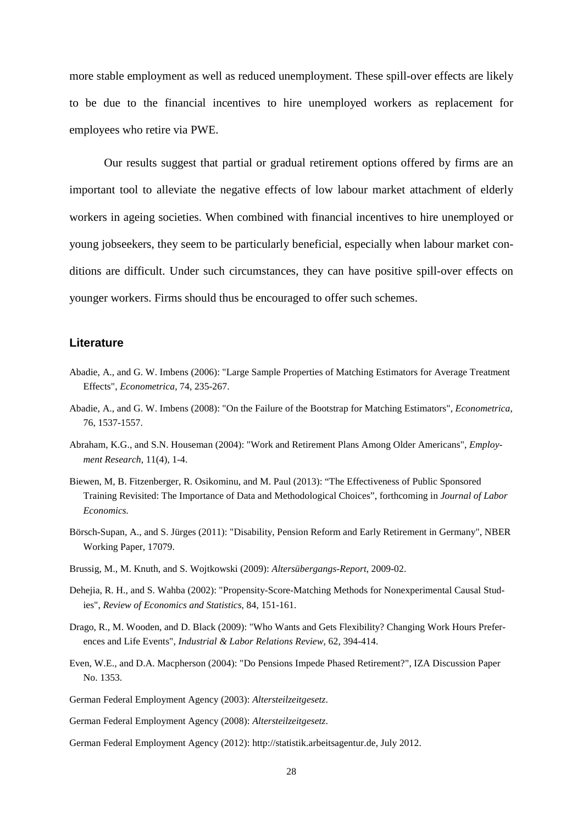more stable employment as well as reduced unemployment. These spill-over effects are likely to be due to the financial incentives to hire unemployed workers as replacement for employees who retire via PWE.

Our results suggest that partial or gradual retirement options offered by firms are an important tool to alleviate the negative effects of low labour market attachment of elderly workers in ageing societies. When combined with financial incentives to hire unemployed or young jobseekers, they seem to be particularly beneficial, especially when labour market conditions are difficult. Under such circumstances, they can have positive spill-over effects on younger workers. Firms should thus be encouraged to offer such schemes.

#### **Literature**

- Abadie, A., and G. W. Imbens (2006): "Large Sample Properties of Matching Estimators for Average Treatment Effects", *Econometrica*, 74, 235-267.
- Abadie, A., and G. W. Imbens (2008): "On the Failure of the Bootstrap for Matching Estimators", *Econometrica*, 76, 1537-1557.
- Abraham, K.G., and S.N. Houseman (2004): "Work and Retirement Plans Among Older Americans", *Employment Research*, 11(4), 1-4.
- Biewen, M, B. Fitzenberger, R. Osikominu, and M. Paul (2013): "The Effectiveness of Public Sponsored Training Revisited: The Importance of Data and Methodological Choices", forthcoming in *Journal of Labor Economics.*
- Börsch-Supan, A., and S. Jürges (2011): "Disability, Pension Reform and Early Retirement in Germany", NBER Working Paper, 17079.
- Brussig, M., M. Knuth, and S. Wojtkowski (2009): *Altersübergangs-Report*, 2009-02.
- Dehejia, R. H., and S. Wahba (2002): "Propensity-Score-Matching Methods for Nonexperimental Causal Studies", *Review of Economics and Statistics*, 84, 151-161.
- Drago, R., M. Wooden, and D. Black (2009): "Who Wants and Gets Flexibility? Changing Work Hours Preferences and Life Events", *Industrial & Labor Relations Review*, 62, 394-414.
- Even, W.E., and D.A. Macpherson (2004): "Do Pensions Impede Phased Retirement?", IZA Discussion Paper No. 1353.
- German Federal Employment Agency (2003): *Altersteilzeitgesetz*.
- German Federal Employment Agency (2008): *Altersteilzeitgesetz*.
- German Federal Employment Agency (2012): http://statistik.arbeitsagentur.de, July 2012.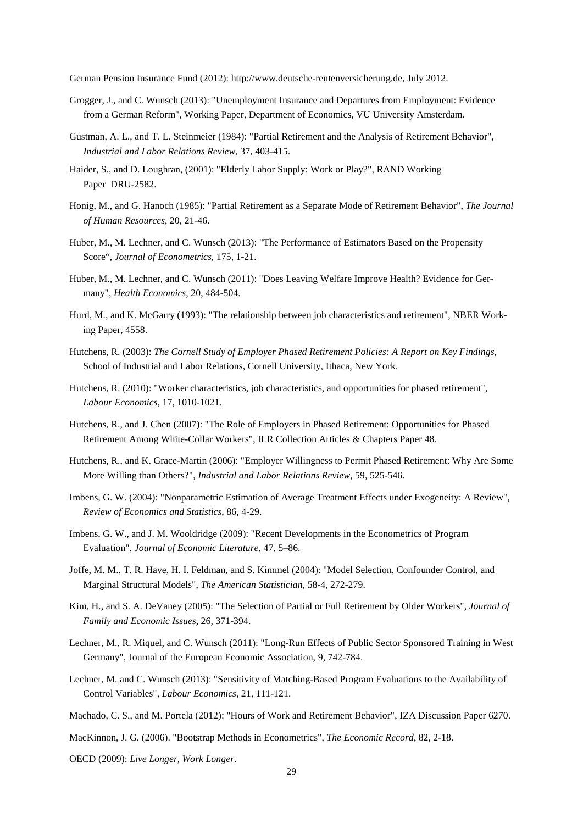German Pension Insurance Fund (2012): http://www.deutsche-rentenversicherung.de, July 2012.

- Grogger, J., and C. Wunsch (2013): "Unemployment Insurance and Departures from Employment: Evidence from a German Reform", Working Paper, Department of Economics, VU University Amsterdam.
- Gustman, A. L., and T. L. Steinmeier (1984): "Partial Retirement and the Analysis of Retirement Behavior", *Industrial and Labor Relations Review*, 37, 403-415.
- Haider, S., and D. Loughran, (2001): "Elderly Labor Supply: Work or Play?", RAND Working Paper DRU-2582.
- Honig, M., and G. Hanoch (1985): "Partial Retirement as a Separate Mode of Retirement Behavior", *The Journal of Human Resources*, 20, 21-46.
- Huber, M., M. Lechner, and C. Wunsch (2013): "The Performance of Estimators Based on the Propensity Score", *Journal of Econometrics*, 175, 1-21.
- Huber, M., M. Lechner, and C. Wunsch (2011): "Does Leaving Welfare Improve Health? Evidence for Germany", *Health Economics*, 20, 484-504.
- Hurd, M., and K. McGarry (1993): "The relationship between job characteristics and retirement", NBER Working Paper, 4558.
- Hutchens, R. (2003): *The Cornell Study of Employer Phased Retirement Policies: A Report on Key Findings*, School of Industrial and Labor Relations, Cornell University, Ithaca, New York.
- Hutchens, R. (2010): "Worker characteristics, job characteristics, and opportunities for phased retirement", *Labour Economics*, 17, 1010-1021.
- Hutchens, R., and J. Chen (2007): "The Role of Employers in Phased Retirement: Opportunities for Phased Retirement Among White-Collar Workers", ILR Collection Articles & Chapters Paper 48.
- Hutchens, R., and K. Grace-Martin (2006): "Employer Willingness to Permit Phased Retirement: Why Are Some More Willing than Others?", *Industrial and Labor Relations Review*, 59, 525-546.
- Imbens, G. W. (2004): "Nonparametric Estimation of Average Treatment Effects under Exogeneity: A Review", *Review of Economics and Statistics*, 86, 4-29.
- Imbens, G. W., and J. M. Wooldridge (2009): "Recent Developments in the Econometrics of Program Evaluation", *Journal of Economic Literature*, 47, 5–86.
- Joffe, M. M., T. R. Have, H. I. Feldman, and S. Kimmel (2004): "Model Selection, Confounder Control, and Marginal Structural Models", *The American Statistician*, 58-4, 272-279.
- Kim, H., and S. A. DeVaney (2005): "The Selection of Partial or Full Retirement by Older Workers", *Journal of Family and Economic Issues*, 26, 371-394.
- Lechner, M., R. Miquel, and C. Wunsch (2011): "Long-Run Effects of Public Sector Sponsored Training in West Germany", Journal of the European Economic Association, 9, 742-784.
- Lechner, M. and C. Wunsch (2013): "Sensitivity of Matching-Based Program Evaluations to the Availability of Control Variables", *Labour Economics*, 21, 111-121.

Machado, C. S., and M. Portela (2012): "Hours of Work and Retirement Behavior", IZA Discussion Paper 6270.

MacKinnon, J. G. (2006). "Bootstrap Methods in Econometrics", *The Economic Record*, 82, 2-18.

OECD (2009): *[Live Longer, Work Longer](http://www.oecd.org/document/42/0,3746,en_2649_34747_36104426_1_1_1_1,00.html)*.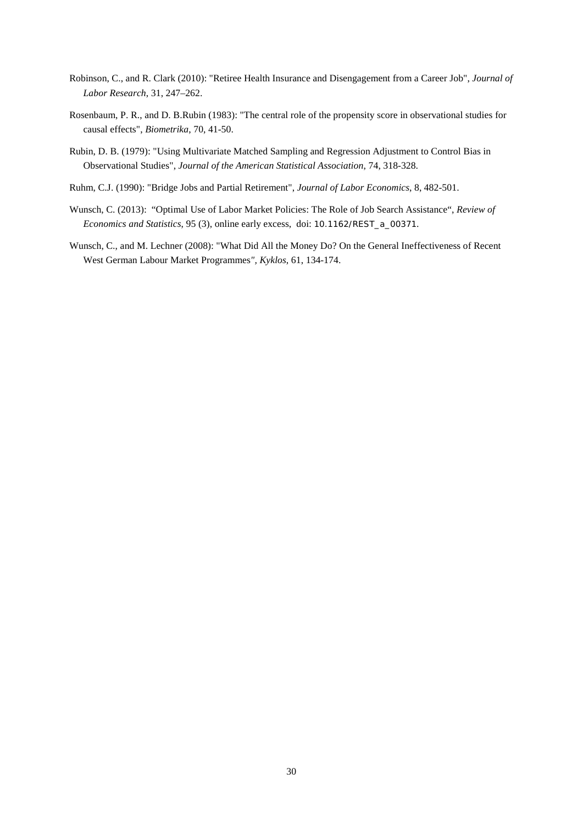- Robinson, C., and R. Clark (2010): "Retiree Health Insurance and Disengagement from a Career Job", *Journal of Labor Research*, 31, 247–262.
- Rosenbaum, P. R., and D. B.Rubin (1983): "The central role of the propensity score in observational studies for causal effects", *Biometrika*, 70, 41-50.
- Rubin, D. B. (1979): "Using Multivariate Matched Sampling and Regression Adjustment to Control Bias in Observational Studies", *Journal of the American Statistical Association*, 74, 318-328.
- Ruhm, C.J. (1990): "Bridge Jobs and Partial Retirement", *Journal of Labor Economics*, 8, 482-501.
- Wunsch, C. (2013): "Optimal Use of Labor Market Policies: The Role of Job Search Assistance", *Review of Economics and Statistics*, 95 (3), online early excess, doi: 10.1162/REST\_a\_00371.
- Wunsch, C., and M. Lechner (2008): "What Did All the Money Do? On the General Ineffectiveness of Recent West German Labour Market Programmes*", Kyklos*, 61, 134-174.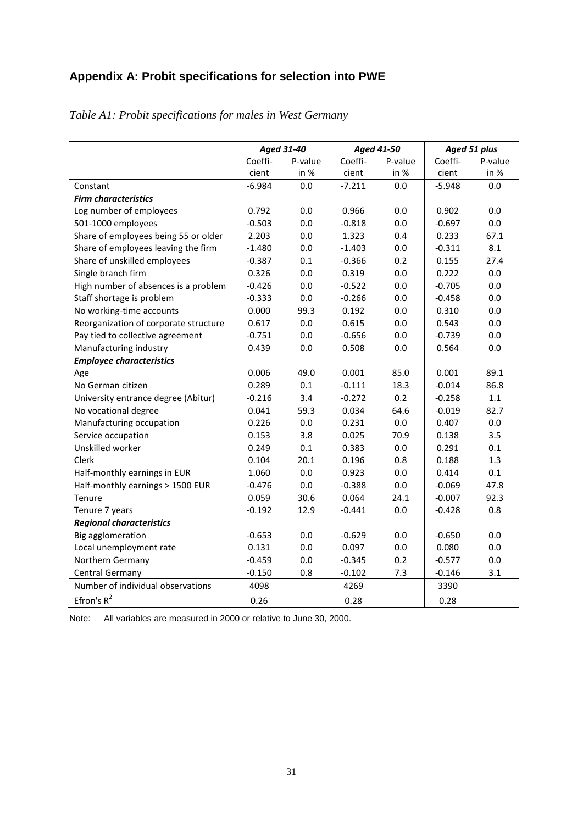# **Appendix A: Probit specifications for selection into PWE**

|                                       | <b>Aged 31-40</b> |         |          | Aged 41-50 | Aged 51 plus |         |  |
|---------------------------------------|-------------------|---------|----------|------------|--------------|---------|--|
|                                       | Coeffi-           | P-value | Coeffi-  | P-value    | Coeffi-      | P-value |  |
|                                       | cient             | in %    | cient    | in %       | cient        | in %    |  |
| Constant                              | $-6.984$          | 0.0     | $-7.211$ | 0.0        | $-5.948$     | 0.0     |  |
| <b>Firm characteristics</b>           |                   |         |          |            |              |         |  |
| Log number of employees               | 0.792             | 0.0     | 0.966    | 0.0        | 0.902        | 0.0     |  |
| 501-1000 employees                    | $-0.503$          | 0.0     | $-0.818$ | 0.0        | $-0.697$     | 0.0     |  |
| Share of employees being 55 or older  | 2.203             | 0.0     | 1.323    | 0.4        | 0.233        | 67.1    |  |
| Share of employees leaving the firm   | $-1.480$          | 0.0     | $-1.403$ | 0.0        | $-0.311$     | 8.1     |  |
| Share of unskilled employees          | $-0.387$          | 0.1     | $-0.366$ | 0.2        | 0.155        | 27.4    |  |
| Single branch firm                    | 0.326             | 0.0     | 0.319    | 0.0        | 0.222        | 0.0     |  |
| High number of absences is a problem  | $-0.426$          | 0.0     | $-0.522$ | 0.0        | $-0.705$     | 0.0     |  |
| Staff shortage is problem             | $-0.333$          | 0.0     | $-0.266$ | 0.0        | $-0.458$     | 0.0     |  |
| No working-time accounts              | 0.000             | 99.3    | 0.192    | 0.0        | 0.310        | 0.0     |  |
| Reorganization of corporate structure | 0.617             | 0.0     | 0.615    | 0.0        | 0.543        | 0.0     |  |
| Pay tied to collective agreement      | $-0.751$          | 0.0     | $-0.656$ | 0.0        | $-0.739$     | 0.0     |  |
| Manufacturing industry                | 0.439             | 0.0     | 0.508    | 0.0        | 0.564        | 0.0     |  |
| <b>Employee characteristics</b>       |                   |         |          |            |              |         |  |
| Age                                   | 0.006             | 49.0    | 0.001    | 85.0       | 0.001        | 89.1    |  |
| No German citizen                     | 0.289             | 0.1     | $-0.111$ | 18.3       | $-0.014$     | 86.8    |  |
| University entrance degree (Abitur)   | $-0.216$          | 3.4     | $-0.272$ | 0.2        | $-0.258$     | 1.1     |  |
| No vocational degree                  | 0.041             | 59.3    | 0.034    | 64.6       | $-0.019$     | 82.7    |  |
| Manufacturing occupation              | 0.226             | 0.0     | 0.231    | 0.0        | 0.407        | 0.0     |  |
| Service occupation                    | 0.153             | 3.8     | 0.025    | 70.9       | 0.138        | 3.5     |  |
| Unskilled worker                      | 0.249             | 0.1     | 0.383    | 0.0        | 0.291        | 0.1     |  |
| Clerk                                 | 0.104             | 20.1    | 0.196    | 0.8        | 0.188        | 1.3     |  |
| Half-monthly earnings in EUR          | 1.060             | 0.0     | 0.923    | 0.0        | 0.414        | 0.1     |  |
| Half-monthly earnings > 1500 EUR      | $-0.476$          | 0.0     | $-0.388$ | 0.0        | $-0.069$     | 47.8    |  |
| Tenure                                | 0.059             | 30.6    | 0.064    | 24.1       | $-0.007$     | 92.3    |  |
| Tenure 7 years                        | $-0.192$          | 12.9    | $-0.441$ | 0.0        | $-0.428$     | 0.8     |  |
| <b>Regional characteristics</b>       |                   |         |          |            |              |         |  |
| Big agglomeration                     | $-0.653$          | 0.0     | $-0.629$ | 0.0        | $-0.650$     | 0.0     |  |
| Local unemployment rate               | 0.131             | 0.0     | 0.097    | 0.0        | 0.080        | 0.0     |  |
| Northern Germany                      | $-0.459$          | 0.0     | $-0.345$ | 0.2        | $-0.577$     | 0.0     |  |
| Central Germany                       | $-0.150$          | 0.8     | $-0.102$ | 7.3        | $-0.146$     | 3.1     |  |
| Number of individual observations     | 4098              |         | 4269     |            | 3390         |         |  |
| Efron's $R^2$                         | 0.26              |         | 0.28     |            | 0.28         |         |  |

*Table A1: Probit specifications for males in West Germany*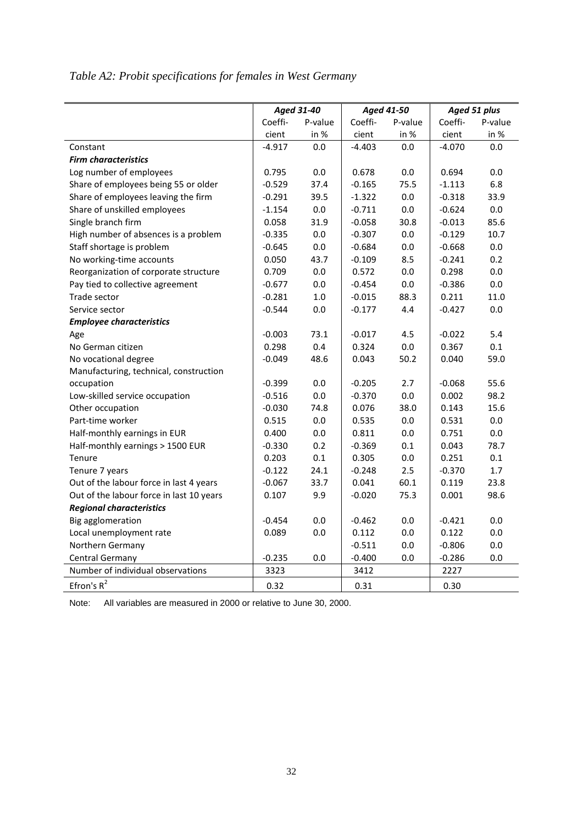| Table A2: Probit specifications for females in West Germany |  |  |  |
|-------------------------------------------------------------|--|--|--|
|-------------------------------------------------------------|--|--|--|

|                                          |          | Aged 31-40 |          | Aged 41-50 |          | Aged 51 plus |
|------------------------------------------|----------|------------|----------|------------|----------|--------------|
|                                          | Coeffi-  | P-value    | Coeffi-  | P-value    | Coeffi-  | P-value      |
|                                          | cient    | in %       | cient    | in %       | cient    | in %         |
| Constant                                 | $-4.917$ | 0.0        | $-4.403$ | 0.0        | $-4.070$ | 0.0          |
| <b>Firm characteristics</b>              |          |            |          |            |          |              |
| Log number of employees                  | 0.795    | $0.0\,$    | 0.678    | 0.0        | 0.694    | 0.0          |
| Share of employees being 55 or older     | $-0.529$ | 37.4       | $-0.165$ | 75.5       | $-1.113$ | 6.8          |
| Share of employees leaving the firm      | $-0.291$ | 39.5       | $-1.322$ | 0.0        | $-0.318$ | 33.9         |
| Share of unskilled employees             | $-1.154$ | $0.0\,$    | $-0.711$ | $0.0\,$    | $-0.624$ | $0.0\,$      |
| Single branch firm                       | 0.058    | 31.9       | $-0.058$ | 30.8       | $-0.013$ | 85.6         |
| High number of absences is a problem     | $-0.335$ | $0.0\,$    | $-0.307$ | $0.0\,$    | $-0.129$ | 10.7         |
| Staff shortage is problem                | $-0.645$ | 0.0        | $-0.684$ | 0.0        | $-0.668$ | $0.0\,$      |
| No working-time accounts                 | 0.050    | 43.7       | $-0.109$ | 8.5        | $-0.241$ | 0.2          |
| Reorganization of corporate structure    | 0.709    | 0.0        | 0.572    | 0.0        | 0.298    | 0.0          |
| Pay tied to collective agreement         | $-0.677$ | 0.0        | $-0.454$ | 0.0        | $-0.386$ | 0.0          |
| Trade sector                             | $-0.281$ | $1.0\,$    | $-0.015$ | 88.3       | 0.211    | 11.0         |
| Service sector                           | $-0.544$ | 0.0        | $-0.177$ | 4.4        | $-0.427$ | 0.0          |
| <b>Employee characteristics</b>          |          |            |          |            |          |              |
| Age                                      | $-0.003$ | 73.1       | $-0.017$ | 4.5        | $-0.022$ | 5.4          |
| No German citizen                        | 0.298    | 0.4        | 0.324    | 0.0        | 0.367    | 0.1          |
| No vocational degree                     | $-0.049$ | 48.6       | 0.043    | 50.2       | 0.040    | 59.0         |
| Manufacturing, technical, construction   |          |            |          |            |          |              |
| occupation                               | $-0.399$ | 0.0        | $-0.205$ | 2.7        | $-0.068$ | 55.6         |
| Low-skilled service occupation           | $-0.516$ | 0.0        | $-0.370$ | 0.0        | 0.002    | 98.2         |
| Other occupation                         | $-0.030$ | 74.8       | 0.076    | 38.0       | 0.143    | 15.6         |
| Part-time worker                         | 0.515    | $0.0\,$    | 0.535    | $0.0\,$    | 0.531    | $0.0\,$      |
| Half-monthly earnings in EUR             | 0.400    | 0.0        | 0.811    | 0.0        | 0.751    | $0.0\,$      |
| Half-monthly earnings > 1500 EUR         | $-0.330$ | 0.2        | $-0.369$ | 0.1        | 0.043    | 78.7         |
| Tenure                                   | 0.203    | 0.1        | 0.305    | 0.0        | 0.251    | $0.1\,$      |
| Tenure 7 years                           | $-0.122$ | 24.1       | $-0.248$ | 2.5        | $-0.370$ | $1.7\,$      |
| Out of the labour force in last 4 years  | $-0.067$ | 33.7       | 0.041    | 60.1       | 0.119    | 23.8         |
| Out of the labour force in last 10 years | 0.107    | 9.9        | $-0.020$ | 75.3       | 0.001    | 98.6         |
| <b>Regional characteristics</b>          |          |            |          |            |          |              |
| Big agglomeration                        | $-0.454$ | 0.0        | $-0.462$ | 0.0        | $-0.421$ | 0.0          |
| Local unemployment rate                  | 0.089    | 0.0        | 0.112    | 0.0        | 0.122    | 0.0          |
| Northern Germany                         |          |            | $-0.511$ | 0.0        | $-0.806$ | 0.0          |
| Central Germany                          | $-0.235$ | 0.0        | $-0.400$ | 0.0        | $-0.286$ | 0.0          |
| Number of individual observations        | 3323     |            | 3412     |            | 2227     |              |
| Efron's $R^2$                            | 0.32     |            | 0.31     |            | 0.30     |              |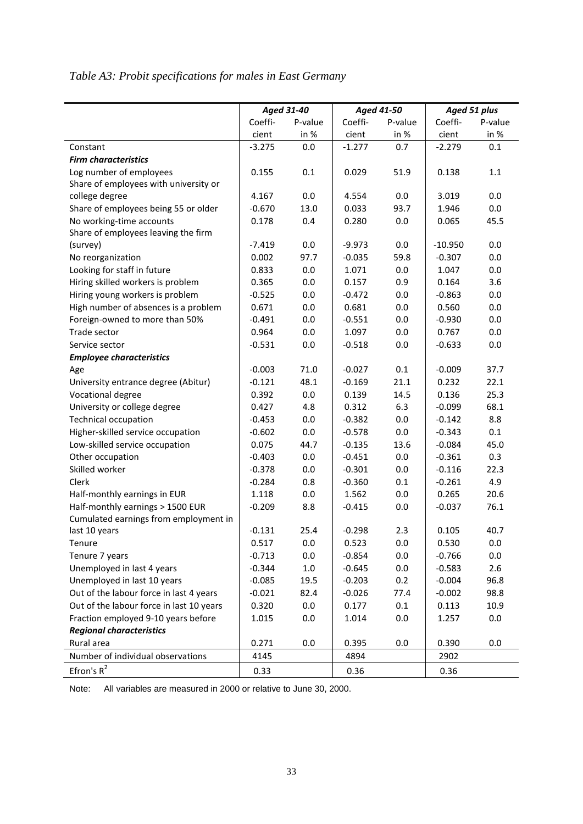# *Table A3: Probit specifications for males in East Germany*

|                                          |          | Aged 31-40 |          | Aged 41-50 | Aged 51 plus |         |  |
|------------------------------------------|----------|------------|----------|------------|--------------|---------|--|
|                                          | Coeffi-  | P-value    | Coeffi-  | P-value    | Coeffi-      | P-value |  |
|                                          | cient    | in %       | cient    | in %       | cient        | in %    |  |
| Constant                                 | $-3.275$ | 0.0        | $-1.277$ | 0.7        | $-2.279$     | 0.1     |  |
| <b>Firm characteristics</b>              |          |            |          |            |              |         |  |
| Log number of employees                  | 0.155    | 0.1        | 0.029    | 51.9       | 0.138        | 1.1     |  |
| Share of employees with university or    |          |            |          |            |              |         |  |
| college degree                           | 4.167    | $0.0\,$    | 4.554    | 0.0        | 3.019        | 0.0     |  |
| Share of employees being 55 or older     | $-0.670$ | 13.0       | 0.033    | 93.7       | 1.946        | 0.0     |  |
| No working-time accounts                 | 0.178    | 0.4        | 0.280    | 0.0        | 0.065        | 45.5    |  |
| Share of employees leaving the firm      |          |            |          |            |              |         |  |
| (survey)                                 | $-7.419$ | 0.0        | $-9.973$ | 0.0        | $-10.950$    | 0.0     |  |
| No reorganization                        | 0.002    | 97.7       | $-0.035$ | 59.8       | $-0.307$     | 0.0     |  |
| Looking for staff in future              | 0.833    | 0.0        | 1.071    | 0.0        | 1.047        | 0.0     |  |
| Hiring skilled workers is problem        | 0.365    | 0.0        | 0.157    | 0.9        | 0.164        | 3.6     |  |
| Hiring young workers is problem          | $-0.525$ | 0.0        | $-0.472$ | 0.0        | $-0.863$     | 0.0     |  |
| High number of absences is a problem     | 0.671    | 0.0        | 0.681    | 0.0        | 0.560        | 0.0     |  |
| Foreign-owned to more than 50%           | $-0.491$ | 0.0        | $-0.551$ | 0.0        | $-0.930$     | 0.0     |  |
| Trade sector                             | 0.964    | 0.0        | 1.097    | 0.0        | 0.767        | 0.0     |  |
| Service sector                           | $-0.531$ | 0.0        | $-0.518$ | 0.0        | $-0.633$     | 0.0     |  |
| <b>Employee characteristics</b>          |          |            |          |            |              |         |  |
| Age                                      | $-0.003$ | 71.0       | $-0.027$ | 0.1        | $-0.009$     | 37.7    |  |
| University entrance degree (Abitur)      | $-0.121$ | 48.1       | $-0.169$ | 21.1       | 0.232        | 22.1    |  |
| Vocational degree                        | 0.392    | 0.0        | 0.139    | 14.5       | 0.136        | 25.3    |  |
| University or college degree             | 0.427    | 4.8        | 0.312    | 6.3        | $-0.099$     | 68.1    |  |
| <b>Technical occupation</b>              | $-0.453$ | 0.0        | $-0.382$ | 0.0        | $-0.142$     | 8.8     |  |
| Higher-skilled service occupation        | $-0.602$ | 0.0        | $-0.578$ | 0.0        | $-0.343$     | 0.1     |  |
| Low-skilled service occupation           | 0.075    | 44.7       | $-0.135$ | 13.6       | $-0.084$     | 45.0    |  |
| Other occupation                         | $-0.403$ | $0.0\,$    | $-0.451$ | 0.0        | $-0.361$     | 0.3     |  |
| Skilled worker                           | $-0.378$ | 0.0        | $-0.301$ | 0.0        | $-0.116$     | 22.3    |  |
| Clerk                                    | $-0.284$ | 0.8        | $-0.360$ | 0.1        | $-0.261$     | 4.9     |  |
| Half-monthly earnings in EUR             | 1.118    | 0.0        | 1.562    | 0.0        | 0.265        | 20.6    |  |
| Half-monthly earnings > 1500 EUR         | $-0.209$ | 8.8        | $-0.415$ | 0.0        | $-0.037$     | 76.1    |  |
| Cumulated earnings from employment in    |          |            |          |            |              |         |  |
| last 10 years                            | $-0.131$ | 25.4       | $-0.298$ | 2.3        | 0.105        | 40.7    |  |
| Tenure                                   | 0.517    | 0.0        | 0.523    | 0.0        | 0.530        | 0.0     |  |
| Tenure 7 years                           | $-0.713$ | 0.0        | $-0.854$ | 0.0        | $-0.766$     | 0.0     |  |
| Unemployed in last 4 years               | $-0.344$ | $1.0\,$    | $-0.645$ | 0.0        | $-0.583$     | 2.6     |  |
| Unemployed in last 10 years              | $-0.085$ | 19.5       | $-0.203$ | 0.2        | $-0.004$     | 96.8    |  |
| Out of the labour force in last 4 years  | $-0.021$ | 82.4       | $-0.026$ | 77.4       | $-0.002$     | 98.8    |  |
| Out of the labour force in last 10 years | 0.320    | 0.0        | 0.177    | 0.1        | 0.113        | 10.9    |  |
| Fraction employed 9-10 years before      | 1.015    | 0.0        | 1.014    | 0.0        | 1.257        | 0.0     |  |
| <b>Regional characteristics</b>          |          |            |          |            |              |         |  |
| Rural area                               | 0.271    | 0.0        | 0.395    | 0.0        | 0.390        | 0.0     |  |
| Number of individual observations        | 4145     |            | 4894     |            | 2902         |         |  |
| Efron's $R^2$                            | 0.33     |            | 0.36     |            | 0.36         |         |  |